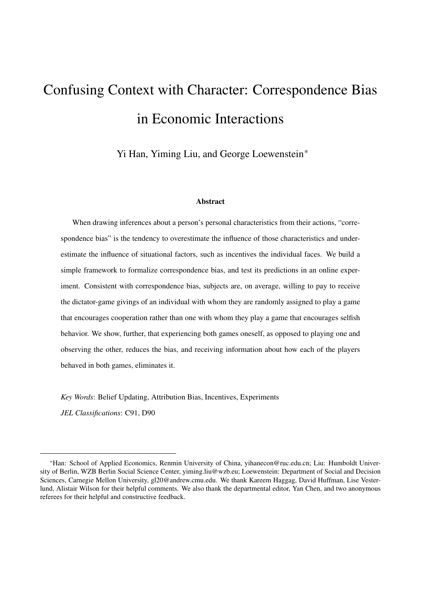# Confusing Context with Character: Correspondence Bias in Economic Interactions

Yi Han, Yiming Liu, and George Loewenstein\*

#### Abstract

When drawing inferences about a person's personal characteristics from their actions, "correspondence bias" is the tendency to overestimate the influence of those characteristics and underestimate the influence of situational factors, such as incentives the individual faces. We build a simple framework to formalize correspondence bias, and test its predictions in an online experiment. Consistent with correspondence bias, subjects are, on average, willing to pay to receive the dictator-game givings of an individual with whom they are randomly assigned to play a game that encourages cooperation rather than one with whom they play a game that encourages selfish behavior. We show, further, that experiencing both games oneself, as opposed to playing one and observing the other, reduces the bias, and receiving information about how each of the players behaved in both games, eliminates it.

*Key Words*: Belief Updating, Attribution Bias, Incentives, Experiments

*JEL Classifications*: C91, D90

<sup>\*</sup>Han: School of Applied Economics, Renmin University of China, [yihanecon@ruc.edu.cn;](mailto:yihanecon@ruc.edu.cn) Liu: Humboldt University of Berlin, WZB Berlin Social Science Center, [yiming.liu@wzb.eu;](mailto:yiming.liu@wzb.eu) Loewenstein: Department of Social and Decision Sciences, Carnegie Mellon University, [gl20@andrew.cmu.edu.](mailto:gl20@andrew.cmu.edu) We thank Kareem Haggag, David Huffman, Lise Vesterlund, Alistair Wilson for their helpful comments. We also thank the departmental editor, Yan Chen, and two anonymous referees for their helpful and constructive feedback.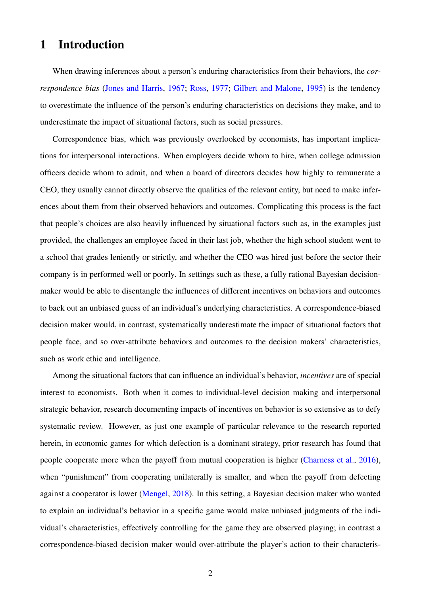# 1 Introduction

When drawing inferences about a person's enduring characteristics from their behaviors, the *correspondence bias* [\(Jones and Harris,](#page-35-0) [1967;](#page-35-0) [Ross,](#page-36-0) [1977;](#page-36-0) [Gilbert and Malone,](#page-35-1) [1995\)](#page-35-1) is the tendency to overestimate the influence of the person's enduring characteristics on decisions they make, and to underestimate the impact of situational factors, such as social pressures.

Correspondence bias, which was previously overlooked by economists, has important implications for interpersonal interactions. When employers decide whom to hire, when college admission officers decide whom to admit, and when a board of directors decides how highly to remunerate a CEO, they usually cannot directly observe the qualities of the relevant entity, but need to make inferences about them from their observed behaviors and outcomes. Complicating this process is the fact that people's choices are also heavily influenced by situational factors such as, in the examples just provided, the challenges an employee faced in their last job, whether the high school student went to a school that grades leniently or strictly, and whether the CEO was hired just before the sector their company is in performed well or poorly. In settings such as these, a fully rational Bayesian decisionmaker would be able to disentangle the influences of different incentives on behaviors and outcomes to back out an unbiased guess of an individual's underlying characteristics. A correspondence-biased decision maker would, in contrast, systematically underestimate the impact of situational factors that people face, and so over-attribute behaviors and outcomes to the decision makers' characteristics, such as work ethic and intelligence.

Among the situational factors that can influence an individual's behavior, *incentives* are of special interest to economists. Both when it comes to individual-level decision making and interpersonal strategic behavior, research documenting impacts of incentives on behavior is so extensive as to defy systematic review. However, as just one example of particular relevance to the research reported herein, in economic games for which defection is a dominant strategy, prior research has found that people cooperate more when the payoff from mutual cooperation is higher [\(Charness et al.,](#page-34-0) [2016\)](#page-34-0), when "punishment" from cooperating unilaterally is smaller, and when the payoff from defecting against a cooperator is lower [\(Mengel,](#page-36-1) [2018\)](#page-36-1). In this setting, a Bayesian decision maker who wanted to explain an individual's behavior in a specific game would make unbiased judgments of the individual's characteristics, effectively controlling for the game they are observed playing; in contrast a correspondence-biased decision maker would over-attribute the player's action to their characteris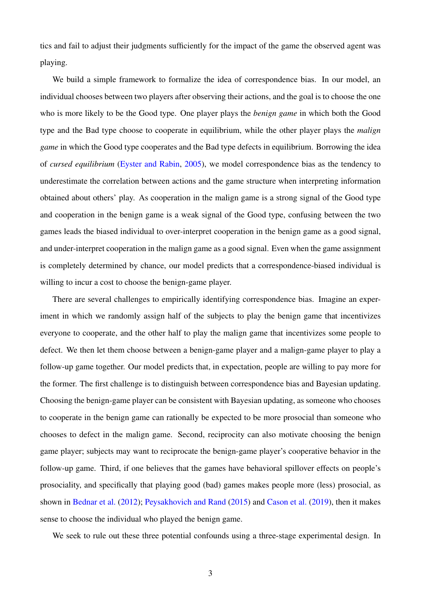tics and fail to adjust their judgments sufficiently for the impact of the game the observed agent was playing.

We build a simple framework to formalize the idea of correspondence bias. In our model, an individual chooses between two players after observing their actions, and the goal is to choose the one who is more likely to be the Good type. One player plays the *benign game* in which both the Good type and the Bad type choose to cooperate in equilibrium, while the other player plays the *malign game* in which the Good type cooperates and the Bad type defects in equilibrium. Borrowing the idea of *cursed equilibrium* [\(Eyster and Rabin,](#page-34-1) [2005\)](#page-34-1), we model correspondence bias as the tendency to underestimate the correlation between actions and the game structure when interpreting information obtained about others' play. As cooperation in the malign game is a strong signal of the Good type and cooperation in the benign game is a weak signal of the Good type, confusing between the two games leads the biased individual to over-interpret cooperation in the benign game as a good signal, and under-interpret cooperation in the malign game as a good signal. Even when the game assignment is completely determined by chance, our model predicts that a correspondence-biased individual is willing to incur a cost to choose the benign-game player.

There are several challenges to empirically identifying correspondence bias. Imagine an experiment in which we randomly assign half of the subjects to play the benign game that incentivizes everyone to cooperate, and the other half to play the malign game that incentivizes some people to defect. We then let them choose between a benign-game player and a malign-game player to play a follow-up game together. Our model predicts that, in expectation, people are willing to pay more for the former. The first challenge is to distinguish between correspondence bias and Bayesian updating. Choosing the benign-game player can be consistent with Bayesian updating, as someone who chooses to cooperate in the benign game can rationally be expected to be more prosocial than someone who chooses to defect in the malign game. Second, reciprocity can also motivate choosing the benign game player; subjects may want to reciprocate the benign-game player's cooperative behavior in the follow-up game. Third, if one believes that the games have behavioral spillover effects on people's prosociality, and specifically that playing good (bad) games makes people more (less) prosocial, as shown in [Bednar et al.](#page-33-0) [\(2012\)](#page-33-0); [Peysakhovich and Rand](#page-36-2) [\(2015\)](#page-36-2) and [Cason et al.](#page-34-2) [\(2019\)](#page-34-2), then it makes sense to choose the individual who played the benign game.

We seek to rule out these three potential confounds using a three-stage experimental design. In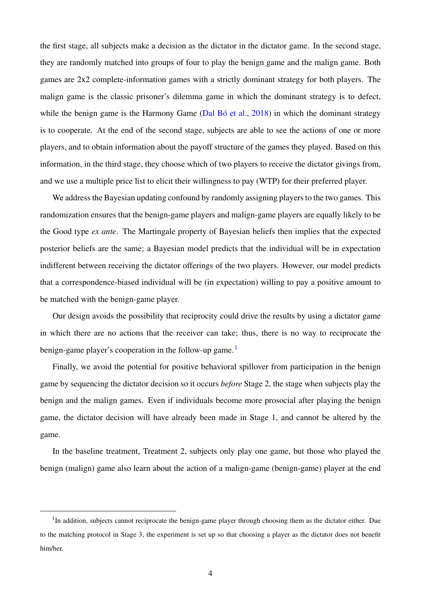the first stage, all subjects make a decision as the dictator in the dictator game. In the second stage, they are randomly matched into groups of four to play the benign game and the malign game. Both games are 2x2 complete-information games with a strictly dominant strategy for both players. The malign game is the classic prisoner's dilemma game in which the dominant strategy is to defect, while the benign game is the Harmony Game (Dal Bó et al.,  $2018$ ) in which the dominant strategy is to cooperate. At the end of the second stage, subjects are able to see the actions of one or more players, and to obtain information about the payoff structure of the games they played. Based on this information, in the third stage, they choose which of two players to receive the dictator givings from, and we use a multiple price list to elicit their willingness to pay (WTP) for their preferred player.

We address the Bayesian updating confound by randomly assigning players to the two games. This randomization ensures that the benign-game players and malign-game players are equally likely to be the Good type *ex ante*. The Martingale property of Bayesian beliefs then implies that the expected posterior beliefs are the same; a Bayesian model predicts that the individual will be in expectation indifferent between receiving the dictator offerings of the two players. However, our model predicts that a correspondence-biased individual will be (in expectation) willing to pay a positive amount to be matched with the benign-game player.

Our design avoids the possibility that reciprocity could drive the results by using a dictator game in which there are no actions that the receiver can take; thus, there is no way to reciprocate the benign-game player's cooperation in the follow-up game.<sup>[1](#page-3-0)</sup>

Finally, we avoid the potential for positive behavioral spillover from participation in the benign game by sequencing the dictator decision so it occurs *before* Stage 2, the stage when subjects play the benign and the malign games. Even if individuals become more prosocial after playing the benign game, the dictator decision will have already been made in Stage 1, and cannot be altered by the game.

In the baseline treatment, Treatment 2, subjects only play one game, but those who played the benign (malign) game also learn about the action of a malign-game (benign-game) player at the end

<span id="page-3-0"></span><sup>&</sup>lt;sup>1</sup>In addition, subjects cannot reciprocate the benign-game player through choosing them as the dictator either. Due to the matching protocol in Stage 3, the experiment is set up so that choosing a player as the dictator does not benefit him/her.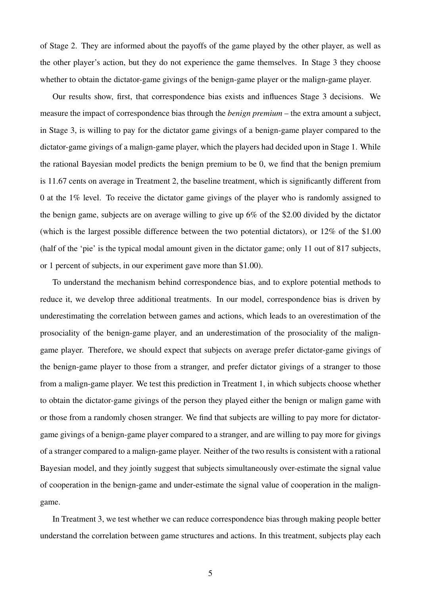of Stage 2. They are informed about the payoffs of the game played by the other player, as well as the other player's action, but they do not experience the game themselves. In Stage 3 they choose whether to obtain the dictator-game givings of the benign-game player or the malign-game player.

Our results show, first, that correspondence bias exists and influences Stage 3 decisions. We measure the impact of correspondence bias through the *benign premium* – the extra amount a subject, in Stage 3, is willing to pay for the dictator game givings of a benign-game player compared to the dictator-game givings of a malign-game player, which the players had decided upon in Stage 1. While the rational Bayesian model predicts the benign premium to be 0, we find that the benign premium is 11.67 cents on average in Treatment 2, the baseline treatment, which is significantly different from 0 at the 1% level. To receive the dictator game givings of the player who is randomly assigned to the benign game, subjects are on average willing to give up 6% of the \$2.00 divided by the dictator (which is the largest possible difference between the two potential dictators), or 12% of the \$1.00 (half of the 'pie' is the typical modal amount given in the dictator game; only 11 out of 817 subjects, or 1 percent of subjects, in our experiment gave more than \$1.00).

To understand the mechanism behind correspondence bias, and to explore potential methods to reduce it, we develop three additional treatments. In our model, correspondence bias is driven by underestimating the correlation between games and actions, which leads to an overestimation of the prosociality of the benign-game player, and an underestimation of the prosociality of the maligngame player. Therefore, we should expect that subjects on average prefer dictator-game givings of the benign-game player to those from a stranger, and prefer dictator givings of a stranger to those from a malign-game player. We test this prediction in Treatment 1, in which subjects choose whether to obtain the dictator-game givings of the person they played either the benign or malign game with or those from a randomly chosen stranger. We find that subjects are willing to pay more for dictatorgame givings of a benign-game player compared to a stranger, and are willing to pay more for givings of a stranger compared to a malign-game player. Neither of the two results is consistent with a rational Bayesian model, and they jointly suggest that subjects simultaneously over-estimate the signal value of cooperation in the benign-game and under-estimate the signal value of cooperation in the maligngame.

In Treatment 3, we test whether we can reduce correspondence bias through making people better understand the correlation between game structures and actions. In this treatment, subjects play each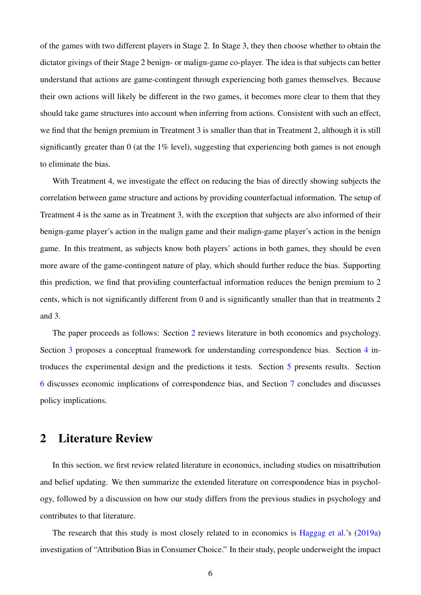of the games with two different players in Stage 2. In Stage 3, they then choose whether to obtain the dictator givings of their Stage 2 benign- or malign-game co-player. The idea is that subjects can better understand that actions are game-contingent through experiencing both games themselves. Because their own actions will likely be different in the two games, it becomes more clear to them that they should take game structures into account when inferring from actions. Consistent with such an effect, we find that the benign premium in Treatment 3 is smaller than that in Treatment 2, although it is still significantly greater than 0 (at the 1% level), suggesting that experiencing both games is not enough to eliminate the bias.

With Treatment 4, we investigate the effect on reducing the bias of directly showing subjects the correlation between game structure and actions by providing counterfactual information. The setup of Treatment 4 is the same as in Treatment 3, with the exception that subjects are also informed of their benign-game player's action in the malign game and their malign-game player's action in the benign game. In this treatment, as subjects know both players' actions in both games, they should be even more aware of the game-contingent nature of play, which should further reduce the bias. Supporting this prediction, we find that providing counterfactual information reduces the benign premium to 2 cents, which is not significantly different from 0 and is significantly smaller than that in treatments 2 and 3.

The paper proceeds as follows: Section [2](#page-5-0) reviews literature in both economics and psychology. Section [3](#page-10-0) proposes a conceptual framework for understanding correspondence bias. Section [4](#page-14-0) introduces the experimental design and the predictions it tests. Section [5](#page-21-0) presents results. Section [6](#page-27-0) discusses economic implications of correspondence bias, and Section [7](#page-32-0) concludes and discusses policy implications.

# <span id="page-5-0"></span>2 Literature Review

In this section, we first review related literature in economics, including studies on misattribution and belief updating. We then summarize the extended literature on correspondence bias in psychology, followed by a discussion on how our study differs from the previous studies in psychology and contributes to that literature.

The research that this study is most closely related to in economics is [Haggag et al.'](#page-35-2)s [\(2019a\)](#page-35-2) investigation of "Attribution Bias in Consumer Choice." In their study, people underweight the impact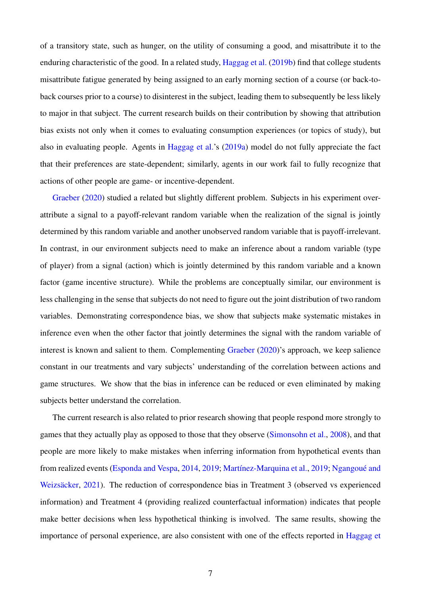of a transitory state, such as hunger, on the utility of consuming a good, and misattribute it to the enduring characteristic of the good. In a related study, [Haggag et al.](#page-35-3) [\(2019b\)](#page-35-3) find that college students misattribute fatigue generated by being assigned to an early morning section of a course (or back-toback courses prior to a course) to disinterest in the subject, leading them to subsequently be less likely to major in that subject. The current research builds on their contribution by showing that attribution bias exists not only when it comes to evaluating consumption experiences (or topics of study), but also in evaluating people. Agents in [Haggag et al.'](#page-35-2)s [\(2019a\)](#page-35-2) model do not fully appreciate the fact that their preferences are state-dependent; similarly, agents in our work fail to fully recognize that actions of other people are game- or incentive-dependent.

[Graeber](#page-35-4) [\(2020\)](#page-35-4) studied a related but slightly different problem. Subjects in his experiment overattribute a signal to a payoff-relevant random variable when the realization of the signal is jointly determined by this random variable and another unobserved random variable that is payoff-irrelevant. In contrast, in our environment subjects need to make an inference about a random variable (type of player) from a signal (action) which is jointly determined by this random variable and a known factor (game incentive structure). While the problems are conceptually similar, our environment is less challenging in the sense that subjects do not need to figure out the joint distribution of two random variables. Demonstrating correspondence bias, we show that subjects make systematic mistakes in inference even when the other factor that jointly determines the signal with the random variable of interest is known and salient to them. Complementing [Graeber](#page-35-4) [\(2020\)](#page-35-4)'s approach, we keep salience constant in our treatments and vary subjects' understanding of the correlation between actions and game structures. We show that the bias in inference can be reduced or even eliminated by making subjects better understand the correlation.

The current research is also related to prior research showing that people respond more strongly to games that they actually play as opposed to those that they observe [\(Simonsohn et al.,](#page-37-0) [2008\)](#page-37-0), and that people are more likely to make mistakes when inferring information from hypothetical events than from realized events [\(Esponda and Vespa,](#page-34-3) [2014,](#page-34-3) [2019;](#page-35-5) Martínez-Marquina et al., 2019; Ngangoué and Weizsäcker, [2021\)](#page-36-3). The reduction of correspondence bias in Treatment 3 (observed vs experienced information) and Treatment 4 (providing realized counterfactual information) indicates that people make better decisions when less hypothetical thinking is involved. The same results, showing the importance of personal experience, are also consistent with one of the effects reported in [Haggag et](#page-35-2)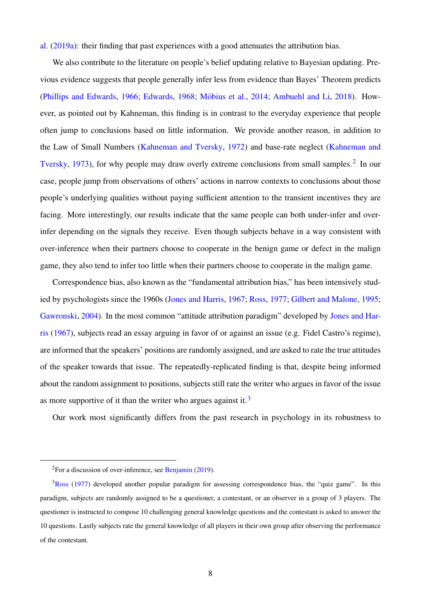[al.](#page-35-2) [\(2019a\)](#page-35-2): their finding that past experiences with a good attenuates the attribution bias.

We also contribute to the literature on people's belief updating relative to Bayesian updating. Previous evidence suggests that people generally infer less from evidence than Bayes' Theorem predicts [\(Phillips and Edwards,](#page-36-4) [1966;](#page-36-4) [Edwards,](#page-34-5) [1968;](#page-34-5) Möbius et al., [2014;](#page-36-5) [Ambuehl and Li,](#page-33-2) [2018\)](#page-33-2). However, as pointed out by Kahneman, this finding is in contrast to the everyday experience that people often jump to conclusions based on little information. We provide another reason, in addition to the Law of Small Numbers [\(Kahneman and Tversky,](#page-35-6) [1972\)](#page-35-6) and base-rate neglect [\(Kahneman and](#page-35-7) [Tversky,](#page-35-7) [1973\)](#page-35-7), for why people may draw overly extreme conclusions from small samples.<sup>[2](#page-7-0)</sup> In our case, people jump from observations of others' actions in narrow contexts to conclusions about those people's underlying qualities without paying sufficient attention to the transient incentives they are facing. More interestingly, our results indicate that the same people can both under-infer and overinfer depending on the signals they receive. Even though subjects behave in a way consistent with over-inference when their partners choose to cooperate in the benign game or defect in the malign game, they also tend to infer too little when their partners choose to cooperate in the malign game.

Correspondence bias, also known as the "fundamental attribution bias," has been intensively studied by psychologists since the 1960s [\(Jones and Harris,](#page-35-0) [1967;](#page-35-0) [Ross,](#page-36-0) [1977;](#page-36-0) [Gilbert and Malone,](#page-35-1) [1995;](#page-35-1) [Gawronski,](#page-35-8) [2004\)](#page-35-8). In the most common "attitude attribution paradigm" developed by [Jones and Har](#page-35-0)[ris](#page-35-0) [\(1967\)](#page-35-0), subjects read an essay arguing in favor of or against an issue (e.g. Fidel Castro's regime), are informed that the speakers' positions are randomly assigned, and are asked to rate the true attitudes of the speaker towards that issue. The repeatedly-replicated finding is that, despite being informed about the random assignment to positions, subjects still rate the writer who argues in favor of the issue as more supportive of it than the writer who argues against it.<sup>[3](#page-7-1)</sup>

Our work most significantly differs from the past research in psychology in its robustness to

<span id="page-7-1"></span><span id="page-7-0"></span><sup>2</sup>For a discussion of over-inference, see [Benjamin](#page-33-3) [\(2019\)](#page-33-3).

 $3$ [Ross](#page-36-0) [\(1977\)](#page-36-0) developed another popular paradigm for assessing correspondence bias, the "quiz game". In this paradigm, subjects are randomly assigned to be a questioner, a contestant, or an observer in a group of 3 players. The questioner is instructed to compose 10 challenging general knowledge questions and the contestant is asked to answer the 10 questions. Lastly subjects rate the general knowledge of all players in their own group after observing the performance of the contestant.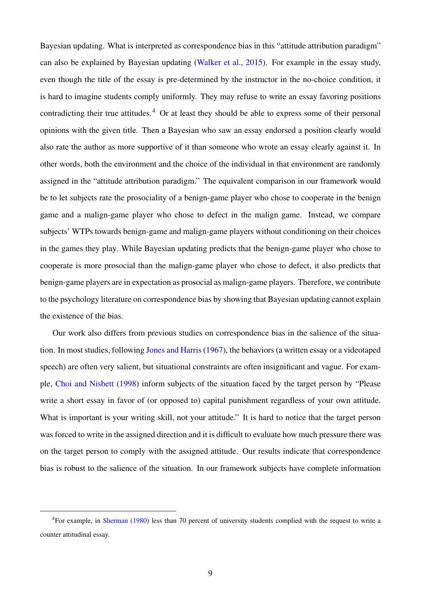Bayesian updating. What is interpreted as correspondence bias in this "attitude attribution paradigm" can also be explained by Bayesian updating [\(Walker et al.,](#page-37-1) [2015\)](#page-37-1). For example in the essay study, even though the title of the essay is pre-determined by the instructor in the no-choice condition, it is hard to imagine students comply uniformly. They may refuse to write an essay favoring positions contradicting their true attitudes.<sup>[4](#page-8-0)</sup> Or at least they should be able to express some of their personal opinions with the given title. Then a Bayesian who saw an essay endorsed a position clearly would also rate the author as more supportive of it than someone who wrote an essay clearly against it. In other words, both the environment and the choice of the individual in that environment are randomly assigned in the "attitude attribution paradigm." The equivalent comparison in our framework would be to let subjects rate the prosociality of a benign-game player who chose to cooperate in the benign game and a malign-game player who chose to defect in the malign game. Instead, we compare subjects' WTPs towards benign-game and malign-game players without conditioning on their choices in the games they play. While Bayesian updating predicts that the benign-game player who chose to cooperate is more prosocial than the malign-game player who chose to defect, it also predicts that benign-game players are in expectation as prosocial as malign-game players. Therefore, we contribute to the psychology literature on correspondence bias by showing that Bayesian updating cannot explain the existence of the bias.

Our work also differs from previous studies on correspondence bias in the salience of the situation. In most studies, following Jones and Harris (1967), the behaviors (a written essay or a videotaped speech) are often very salient, but situational constraints are often insignificant and vague. For example, [Choi and Nisbett](#page-34-6) [\(1998\)](#page-34-6) inform subjects of the situation faced by the target person by "Please write a short essay in favor of (or opposed to) capital punishment regardless of your own attitude. What is important is your writing skill, not your attitude." It is hard to notice that the target person was forced to write in the assigned direction and it is difficult to evaluate how much pressure there was on the target person to comply with the assigned attitude. Our results indicate that correspondence bias is robust to the salience of the situation. In our framework subjects have complete information

<span id="page-8-0"></span><sup>4</sup>For example, in [Sherman](#page-36-6) [\(1980\)](#page-36-6) less than 70 percent of university students complied with the request to write a counter attitudinal essay.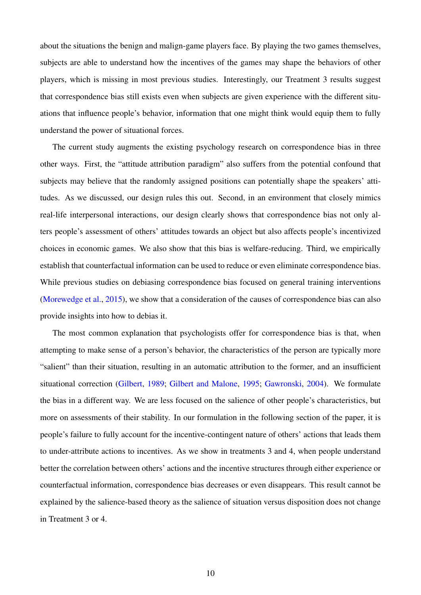about the situations the benign and malign-game players face. By playing the two games themselves, subjects are able to understand how the incentives of the games may shape the behaviors of other players, which is missing in most previous studies. Interestingly, our Treatment 3 results suggest that correspondence bias still exists even when subjects are given experience with the different situations that influence people's behavior, information that one might think would equip them to fully understand the power of situational forces.

The current study augments the existing psychology research on correspondence bias in three other ways. First, the "attitude attribution paradigm" also suffers from the potential confound that subjects may believe that the randomly assigned positions can potentially shape the speakers' attitudes. As we discussed, our design rules this out. Second, in an environment that closely mimics real-life interpersonal interactions, our design clearly shows that correspondence bias not only alters people's assessment of others' attitudes towards an object but also affects people's incentivized choices in economic games. We also show that this bias is welfare-reducing. Third, we empirically establish that counterfactual information can be used to reduce or even eliminate correspondence bias. While previous studies on debiasing correspondence bias focused on general training interventions [\(Morewedge et al.,](#page-36-7) [2015\)](#page-36-7), we show that a consideration of the causes of correspondence bias can also provide insights into how to debias it.

The most common explanation that psychologists offer for correspondence bias is that, when attempting to make sense of a person's behavior, the characteristics of the person are typically more "salient" than their situation, resulting in an automatic attribution to the former, and an insufficient situational correction [\(Gilbert,](#page-35-9) [1989;](#page-35-9) [Gilbert and Malone,](#page-35-1) [1995;](#page-35-1) [Gawronski,](#page-35-8) [2004\)](#page-35-8). We formulate the bias in a different way. We are less focused on the salience of other people's characteristics, but more on assessments of their stability. In our formulation in the following section of the paper, it is people's failure to fully account for the incentive-contingent nature of others' actions that leads them to under-attribute actions to incentives. As we show in treatments 3 and 4, when people understand better the correlation between others' actions and the incentive structures through either experience or counterfactual information, correspondence bias decreases or even disappears. This result cannot be explained by the salience-based theory as the salience of situation versus disposition does not change in Treatment 3 or 4.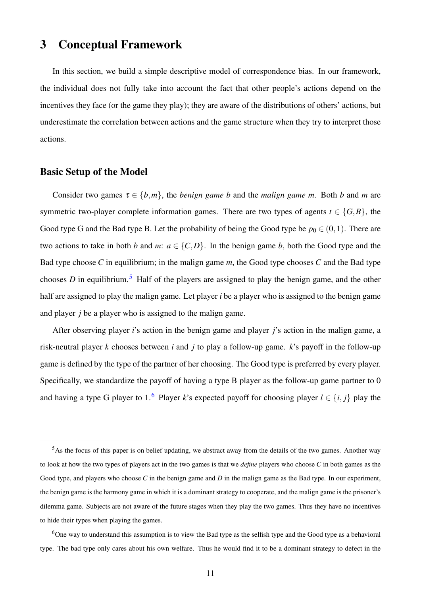# <span id="page-10-0"></span>3 Conceptual Framework

In this section, we build a simple descriptive model of correspondence bias. In our framework, the individual does not fully take into account the fact that other people's actions depend on the incentives they face (or the game they play); they are aware of the distributions of others' actions, but underestimate the correlation between actions and the game structure when they try to interpret those actions.

# Basic Setup of the Model

Consider two games  $\tau \in \{b, m\}$ , the *benign game b* and the *malign game m*. Both *b* and *m* are symmetric two-player complete information games. There are two types of agents  $t \in \{G, B\}$ , the Good type G and the Bad type B. Let the probability of being the Good type be  $p_0 \in (0,1)$ . There are two actions to take in both *b* and *m*:  $a \in \{C, D\}$ . In the benign game *b*, both the Good type and the Bad type choose *C* in equilibrium; in the malign game *m*, the Good type chooses *C* and the Bad type chooses *D* in equilibrium.<sup>[5](#page-10-1)</sup> Half of the players are assigned to play the benign game, and the other half are assigned to play the malign game. Let player *i* be a player who is assigned to the benign game and player *j* be a player who is assigned to the malign game.

After observing player *i*'s action in the benign game and player *j*'s action in the malign game, a risk-neutral player *k* chooses between *i* and *j* to play a follow-up game. *k*'s payoff in the follow-up game is defined by the type of the partner of her choosing. The Good type is preferred by every player. Specifically, we standardize the payoff of having a type B player as the follow-up game partner to 0 and having a type G player to 1.<sup>[6](#page-10-2)</sup> Player *k*'s expected payoff for choosing player  $l \in \{i, j\}$  play the

<span id="page-10-1"></span><sup>&</sup>lt;sup>5</sup>As the focus of this paper is on belief updating, we abstract away from the details of the two games. Another way to look at how the two types of players act in the two games is that we *define* players who choose *C* in both games as the Good type, and players who choose *C* in the benign game and *D* in the malign game as the Bad type. In our experiment, the benign game is the harmony game in which it is a dominant strategy to cooperate, and the malign game is the prisoner's dilemma game. Subjects are not aware of the future stages when they play the two games. Thus they have no incentives to hide their types when playing the games.

<span id="page-10-2"></span><sup>6</sup>One way to understand this assumption is to view the Bad type as the selfish type and the Good type as a behavioral type. The bad type only cares about his own welfare. Thus he would find it to be a dominant strategy to defect in the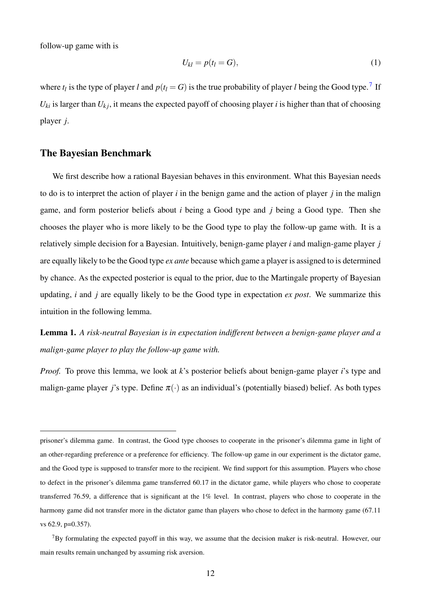follow-up game with is

$$
U_{kl} = p(t_l = G), \tag{1}
$$

where  $t_l$  is the type of player *l* and  $p(t_l = G)$  is the true probability of player *l* being the Good type.<sup>[7](#page-11-0)</sup> If  $U_{ki}$  is larger than  $U_{ki}$ , it means the expected payoff of choosing player *i* is higher than that of choosing player *j*.

# The Bayesian Benchmark

We first describe how a rational Bayesian behaves in this environment. What this Bayesian needs to do is to interpret the action of player *i* in the benign game and the action of player *j* in the malign game, and form posterior beliefs about *i* being a Good type and *j* being a Good type. Then she chooses the player who is more likely to be the Good type to play the follow-up game with. It is a relatively simple decision for a Bayesian. Intuitively, benign-game player *i* and malign-game player *j* are equally likely to be the Good type *ex ante* because which game a player is assigned to is determined by chance. As the expected posterior is equal to the prior, due to the Martingale property of Bayesian updating, *i* and *j* are equally likely to be the Good type in expectation *ex post*. We summarize this intuition in the following lemma.

Lemma 1. *A risk-neutral Bayesian is in expectation indifferent between a benign-game player and a malign-game player to play the follow-up game with.*

*Proof.* To prove this lemma, we look at *k*'s posterior beliefs about benign-game player *i*'s type and malign-game player *j*'s type. Define  $\pi(\cdot)$  as an individual's (potentially biased) belief. As both types

prisoner's dilemma game. In contrast, the Good type chooses to cooperate in the prisoner's dilemma game in light of an other-regarding preference or a preference for efficiency. The follow-up game in our experiment is the dictator game, and the Good type is supposed to transfer more to the recipient. We find support for this assumption. Players who chose to defect in the prisoner's dilemma game transferred 60.17 in the dictator game, while players who chose to cooperate transferred 76.59, a difference that is significant at the 1% level. In contrast, players who chose to cooperate in the harmony game did not transfer more in the dictator game than players who chose to defect in the harmony game (67.11) vs 62.9, p=0.357).

<span id="page-11-0"></span> ${}^{7}$ By formulating the expected payoff in this way, we assume that the decision maker is risk-neutral. However, our main results remain unchanged by assuming risk aversion.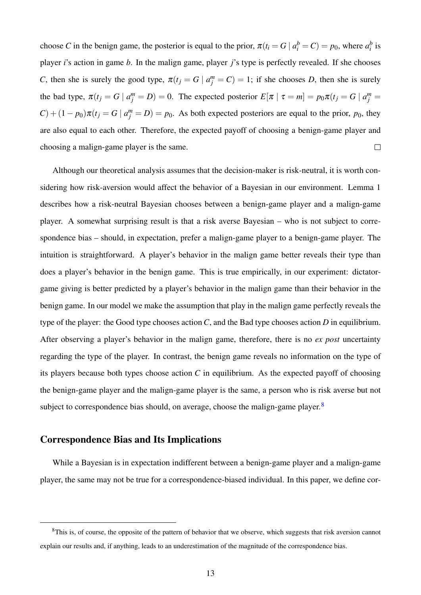choose *C* in the benign game, the posterior is equal to the prior,  $\pi(t_i = G \mid a_i^b = C) = p_0$ , where  $a_i^b$  is player *i*'s action in game *b*. In the malign game, player *j*'s type is perfectly revealed. If she chooses *C*, then she is surely the good type,  $\pi(t_j = G \mid a_j^m = C) = 1$ ; if she chooses *D*, then she is surely the bad type,  $\pi(t_j = G \mid a_j^m = D) = 0$ . The expected posterior  $E[\pi \mid \tau = m] = p_0 \pi(t_j = G \mid a_j^m = m)$  $C$ ) +  $(1-p_0)\pi(t_j = G | a_j^m = D) = p_0$ . As both expected posteriors are equal to the prior,  $p_0$ , they are also equal to each other. Therefore, the expected payoff of choosing a benign-game player and choosing a malign-game player is the same.  $\Box$ 

Although our theoretical analysis assumes that the decision-maker is risk-neutral, it is worth considering how risk-aversion would affect the behavior of a Bayesian in our environment. Lemma 1 describes how a risk-neutral Bayesian chooses between a benign-game player and a malign-game player. A somewhat surprising result is that a risk averse Bayesian – who is not subject to correspondence bias – should, in expectation, prefer a malign-game player to a benign-game player. The intuition is straightforward. A player's behavior in the malign game better reveals their type than does a player's behavior in the benign game. This is true empirically, in our experiment: dictatorgame giving is better predicted by a player's behavior in the malign game than their behavior in the benign game. In our model we make the assumption that play in the malign game perfectly reveals the type of the player: the Good type chooses action *C*, and the Bad type chooses action *D* in equilibrium. After observing a player's behavior in the malign game, therefore, there is no *ex post* uncertainty regarding the type of the player. In contrast, the benign game reveals no information on the type of its players because both types choose action *C* in equilibrium. As the expected payoff of choosing the benign-game player and the malign-game player is the same, a person who is risk averse but not subject to correspondence bias should, on average, choose the malign-game player.  $8$ 

# Correspondence Bias and Its Implications

While a Bayesian is in expectation indifferent between a benign-game player and a malign-game player, the same may not be true for a correspondence-biased individual. In this paper, we define cor-

<span id="page-12-0"></span> ${}^8$ This is, of course, the opposite of the pattern of behavior that we observe, which suggests that risk aversion cannot explain our results and, if anything, leads to an underestimation of the magnitude of the correspondence bias.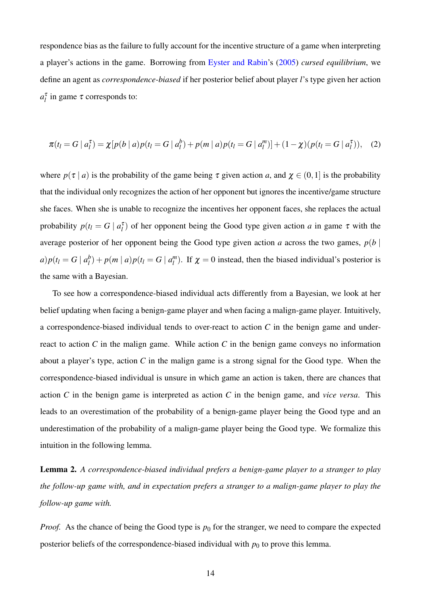respondence bias as the failure to fully account for the incentive structure of a game when interpreting a player's actions in the game. Borrowing from [Eyster and Rabin'](#page-34-1)s [\(2005\)](#page-34-1) *cursed equilibrium*, we define an agent as *correspondence-biased* if her posterior belief about player *l*'s type given her action  $a_l^{\tau}$  in game  $\tau$  corresponds to:

$$
\pi(t_l = G \mid a_l^{\tau}) = \chi[p(b \mid a)p(t_l = G \mid a_l^b) + p(m \mid a)p(t_l = G \mid a_l^m)] + (1 - \chi)(p(t_l = G \mid a_l^{\tau})), \quad (2)
$$

where  $p(\tau | a)$  is the probability of the game being  $\tau$  given action *a*, and  $\chi \in (0,1]$  is the probability that the individual only recognizes the action of her opponent but ignores the incentive/game structure she faces. When she is unable to recognize the incentives her opponent faces, she replaces the actual probability  $p(t_l = G \mid a_l^{\tau})$  of her opponent being the Good type given action *a* in game  $\tau$  with the average posterior of her opponent being the Good type given action *a* across the two games,  $p(b \mid b)$  $a) p(t_l = G \mid a_l^b$  $\binom{b}{l}$  +  $p(m | a)p(t_l = G | a_l^m)$  $\binom{m}{l}$ . If  $\chi = 0$  instead, then the biased individual's posterior is the same with a Bayesian.

To see how a correspondence-biased individual acts differently from a Bayesian, we look at her belief updating when facing a benign-game player and when facing a malign-game player. Intuitively, a correspondence-biased individual tends to over-react to action *C* in the benign game and underreact to action *C* in the malign game. While action *C* in the benign game conveys no information about a player's type, action *C* in the malign game is a strong signal for the Good type. When the correspondence-biased individual is unsure in which game an action is taken, there are chances that action *C* in the benign game is interpreted as action *C* in the benign game, and *vice versa*. This leads to an overestimation of the probability of a benign-game player being the Good type and an underestimation of the probability of a malign-game player being the Good type. We formalize this intuition in the following lemma.

Lemma 2. *A correspondence-biased individual prefers a benign-game player to a stranger to play the follow-up game with, and in expectation prefers a stranger to a malign-game player to play the follow-up game with.*

*Proof.* As the chance of being the Good type is  $p_0$  for the stranger, we need to compare the expected posterior beliefs of the correspondence-biased individual with  $p_0$  to prove this lemma.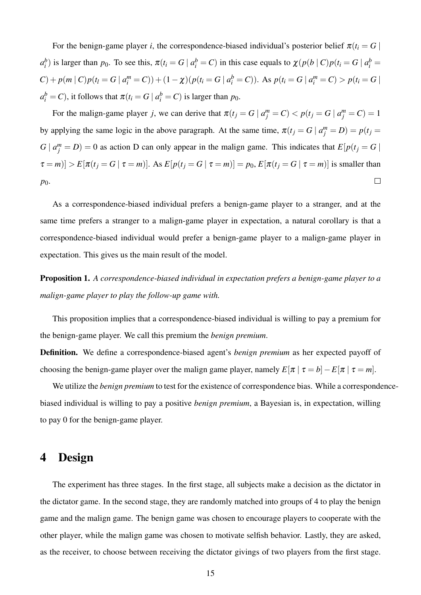For the benign-game player *i*, the correspondence-biased individual's posterior belief  $\pi(t_i = G)$  $a_i^b$ ) is larger than  $p_0$ . To see this,  $\pi(t_i = G \mid a_i^b = C)$  in this case equals to  $\chi(p(b \mid C)p(t_i = G \mid a_i^b = C))$  $C$ ) +  $p(m | C)p(t_i = G | a_i^m = C)$ ) +  $(1 - \chi)(p(t_i = G | a_i^b = C))$ . As  $p(t_i = G | a_i^m = C) > p(t_i = G |$  $a_i^b = C$ ), it follows that  $\pi(t_i = G \mid a_i^b = C)$  is larger than  $p_0$ .

For the malign-game player *j*, we can derive that  $\pi(t_j = G \mid a_j^m = C) < p(t_j = G \mid a_j^m = C) = 1$ by applying the same logic in the above paragraph. At the same time,  $\pi(t_j = G \mid a_j^m = D) = p(t_j = D)$  $G \mid a_j^m = D$ ) = 0 as action D can only appear in the malign game. This indicates that  $E[p(t_j = G \mid \mathbf{f}_j = G)]$  $\tau = m$ ] >  $E[\pi(t_j = G \mid \tau = m)]$ . As  $E[p(t_j = G \mid \tau = m)] = p_0$ ,  $E[\pi(t_j = G \mid \tau = m)]$  is smaller than  $\Box$ *p*0.

As a correspondence-biased individual prefers a benign-game player to a stranger, and at the same time prefers a stranger to a malign-game player in expectation, a natural corollary is that a correspondence-biased individual would prefer a benign-game player to a malign-game player in expectation. This gives us the main result of the model.

Proposition 1. *A correspondence-biased individual in expectation prefers a benign-game player to a malign-game player to play the follow-up game with.*

This proposition implies that a correspondence-biased individual is willing to pay a premium for the benign-game player. We call this premium the *benign premium*.

Definition. We define a correspondence-biased agent's *benign premium* as her expected payoff of choosing the benign-game player over the malign game player, namely  $E[\pi | \tau = b] - E[\pi | \tau = m]$ .

We utilize the *benign premium* to test for the existence of correspondence bias. While a correspondencebiased individual is willing to pay a positive *benign premium*, a Bayesian is, in expectation, willing to pay 0 for the benign-game player.

# <span id="page-14-0"></span>4 Design

The experiment has three stages. In the first stage, all subjects make a decision as the dictator in the dictator game. In the second stage, they are randomly matched into groups of 4 to play the benign game and the malign game. The benign game was chosen to encourage players to cooperate with the other player, while the malign game was chosen to motivate selfish behavior. Lastly, they are asked, as the receiver, to choose between receiving the dictator givings of two players from the first stage.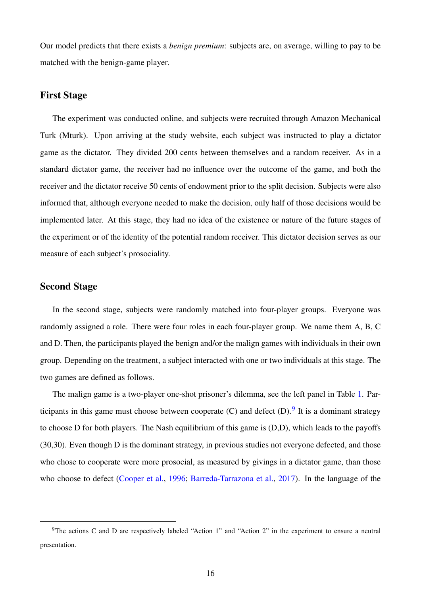Our model predicts that there exists a *benign premium*: subjects are, on average, willing to pay to be matched with the benign-game player.

#### First Stage

The experiment was conducted online, and subjects were recruited through Amazon Mechanical Turk (Mturk). Upon arriving at the study website, each subject was instructed to play a dictator game as the dictator. They divided 200 cents between themselves and a random receiver. As in a standard dictator game, the receiver had no influence over the outcome of the game, and both the receiver and the dictator receive 50 cents of endowment prior to the split decision. Subjects were also informed that, although everyone needed to make the decision, only half of those decisions would be implemented later. At this stage, they had no idea of the existence or nature of the future stages of the experiment or of the identity of the potential random receiver. This dictator decision serves as our measure of each subject's prosociality.

### Second Stage

In the second stage, subjects were randomly matched into four-player groups. Everyone was randomly assigned a role. There were four roles in each four-player group. We name them A, B, C and D. Then, the participants played the benign and/or the malign games with individuals in their own group. Depending on the treatment, a subject interacted with one or two individuals at this stage. The two games are defined as follows.

The malign game is a two-player one-shot prisoner's dilemma, see the left panel in Table [1.](#page-43-0) Participants in this game must choose between cooperate  $(C)$  and defect  $(D)$ . It is a dominant strategy to choose D for both players. The Nash equilibrium of this game is (D,D), which leads to the payoffs (30,30). Even though D is the dominant strategy, in previous studies not everyone defected, and those who chose to cooperate were more prosocial, as measured by givings in a dictator game, than those who choose to defect [\(Cooper et al.,](#page-34-7) [1996;](#page-34-7) [Barreda-Tarrazona et al.,](#page-33-4) [2017\)](#page-33-4). In the language of the

<span id="page-15-0"></span><sup>&</sup>lt;sup>9</sup>The actions C and D are respectively labeled "Action 1" and "Action 2" in the experiment to ensure a neutral presentation.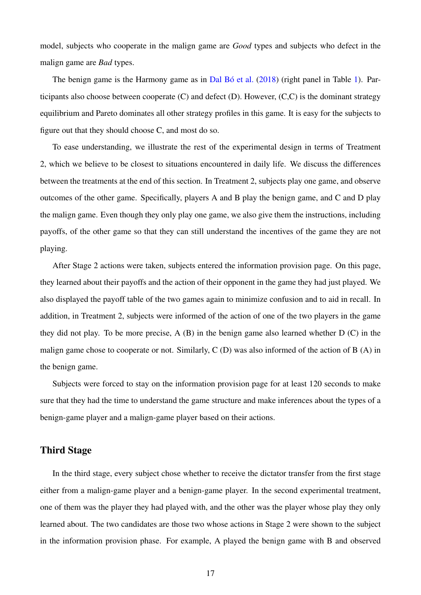model, subjects who cooperate in the malign game are *Good* types and subjects who defect in the malign game are *Bad* types.

The benign game is the Harmony game as in Dal Bó et al.  $(2018)$  (right panel in Table [1\)](#page-43-0). Participants also choose between cooperate (C) and defect (D). However, (C,C) is the dominant strategy equilibrium and Pareto dominates all other strategy profiles in this game. It is easy for the subjects to figure out that they should choose C, and most do so.

To ease understanding, we illustrate the rest of the experimental design in terms of Treatment 2, which we believe to be closest to situations encountered in daily life. We discuss the differences between the treatments at the end of this section. In Treatment 2, subjects play one game, and observe outcomes of the other game. Specifically, players A and B play the benign game, and C and D play the malign game. Even though they only play one game, we also give them the instructions, including payoffs, of the other game so that they can still understand the incentives of the game they are not playing.

After Stage 2 actions were taken, subjects entered the information provision page. On this page, they learned about their payoffs and the action of their opponent in the game they had just played. We also displayed the payoff table of the two games again to minimize confusion and to aid in recall. In addition, in Treatment 2, subjects were informed of the action of one of the two players in the game they did not play. To be more precise, A (B) in the benign game also learned whether D (C) in the malign game chose to cooperate or not. Similarly, C (D) was also informed of the action of B (A) in the benign game.

Subjects were forced to stay on the information provision page for at least 120 seconds to make sure that they had the time to understand the game structure and make inferences about the types of a benign-game player and a malign-game player based on their actions.

# Third Stage

In the third stage, every subject chose whether to receive the dictator transfer from the first stage either from a malign-game player and a benign-game player. In the second experimental treatment, one of them was the player they had played with, and the other was the player whose play they only learned about. The two candidates are those two whose actions in Stage 2 were shown to the subject in the information provision phase. For example, A played the benign game with B and observed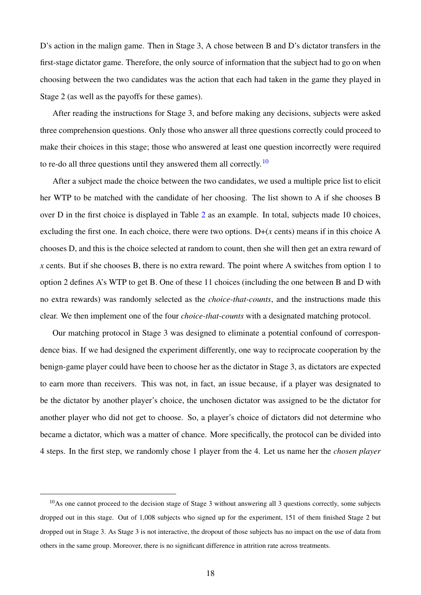D's action in the malign game. Then in Stage 3, A chose between B and D's dictator transfers in the first-stage dictator game. Therefore, the only source of information that the subject had to go on when choosing between the two candidates was the action that each had taken in the game they played in Stage 2 (as well as the payoffs for these games).

After reading the instructions for Stage 3, and before making any decisions, subjects were asked three comprehension questions. Only those who answer all three questions correctly could proceed to make their choices in this stage; those who answered at least one question incorrectly were required to re-do all three questions until they answered them all correctly.<sup>[10](#page-17-0)</sup>

After a subject made the choice between the two candidates, we used a multiple price list to elicit her WTP to be matched with the candidate of her choosing. The list shown to A if she chooses B over D in the first choice is displayed in Table [2](#page-44-0) as an example. In total, subjects made 10 choices, excluding the first one. In each choice, there were two options. D+(*x* cents) means if in this choice A chooses D, and this is the choice selected at random to count, then she will then get an extra reward of *x* cents. But if she chooses B, there is no extra reward. The point where A switches from option 1 to option 2 defines A's WTP to get B. One of these 11 choices (including the one between B and D with no extra rewards) was randomly selected as the *choice-that-counts*, and the instructions made this clear. We then implement one of the four *choice-that-counts* with a designated matching protocol.

Our matching protocol in Stage 3 was designed to eliminate a potential confound of correspondence bias. If we had designed the experiment differently, one way to reciprocate cooperation by the benign-game player could have been to choose her as the dictator in Stage 3, as dictators are expected to earn more than receivers. This was not, in fact, an issue because, if a player was designated to be the dictator by another player's choice, the unchosen dictator was assigned to be the dictator for another player who did not get to choose. So, a player's choice of dictators did not determine who became a dictator, which was a matter of chance. More specifically, the protocol can be divided into 4 steps. In the first step, we randomly chose 1 player from the 4. Let us name her the *chosen player*

<span id="page-17-0"></span> $10$ As one cannot proceed to the decision stage of Stage 3 without answering all 3 questions correctly, some subjects dropped out in this stage. Out of 1,008 subjects who signed up for the experiment, 151 of them finished Stage 2 but dropped out in Stage 3. As Stage 3 is not interactive, the dropout of those subjects has no impact on the use of data from others in the same group. Moreover, there is no significant difference in attrition rate across treatments.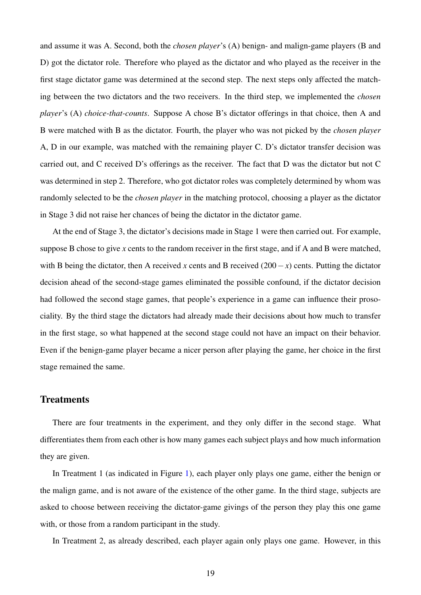and assume it was A. Second, both the *chosen player*'s (A) benign- and malign-game players (B and D) got the dictator role. Therefore who played as the dictator and who played as the receiver in the first stage dictator game was determined at the second step. The next steps only affected the matching between the two dictators and the two receivers. In the third step, we implemented the *chosen player*'s (A) *choice-that-counts*. Suppose A chose B's dictator offerings in that choice, then A and B were matched with B as the dictator. Fourth, the player who was not picked by the *chosen player* A, D in our example, was matched with the remaining player C. D's dictator transfer decision was carried out, and C received D's offerings as the receiver. The fact that D was the dictator but not C was determined in step 2. Therefore, who got dictator roles was completely determined by whom was randomly selected to be the *chosen player* in the matching protocol, choosing a player as the dictator in Stage 3 did not raise her chances of being the dictator in the dictator game.

At the end of Stage 3, the dictator's decisions made in Stage 1 were then carried out. For example, suppose B chose to give *x* cents to the random receiver in the first stage, and if A and B were matched, with B being the dictator, then A received *x* cents and B received (200−*x*) cents. Putting the dictator decision ahead of the second-stage games eliminated the possible confound, if the dictator decision had followed the second stage games, that people's experience in a game can influence their prosociality. By the third stage the dictators had already made their decisions about how much to transfer in the first stage, so what happened at the second stage could not have an impact on their behavior. Even if the benign-game player became a nicer person after playing the game, her choice in the first stage remained the same.

## **Treatments**

There are four treatments in the experiment, and they only differ in the second stage. What differentiates them from each other is how many games each subject plays and how much information they are given.

In Treatment 1 (as indicated in Figure [1\)](#page-38-0), each player only plays one game, either the benign or the malign game, and is not aware of the existence of the other game. In the third stage, subjects are asked to choose between receiving the dictator-game givings of the person they play this one game with, or those from a random participant in the study.

In Treatment 2, as already described, each player again only plays one game. However, in this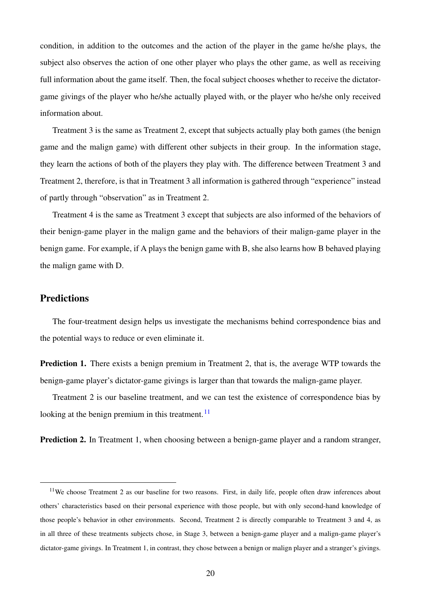condition, in addition to the outcomes and the action of the player in the game he/she plays, the subject also observes the action of one other player who plays the other game, as well as receiving full information about the game itself. Then, the focal subject chooses whether to receive the dictatorgame givings of the player who he/she actually played with, or the player who he/she only received information about.

Treatment 3 is the same as Treatment 2, except that subjects actually play both games (the benign game and the malign game) with different other subjects in their group. In the information stage, they learn the actions of both of the players they play with. The difference between Treatment 3 and Treatment 2, therefore, is that in Treatment 3 all information is gathered through "experience" instead of partly through "observation" as in Treatment 2.

Treatment 4 is the same as Treatment 3 except that subjects are also informed of the behaviors of their benign-game player in the malign game and the behaviors of their malign-game player in the benign game. For example, if A plays the benign game with B, she also learns how B behaved playing the malign game with D.

#### Predictions

The four-treatment design helps us investigate the mechanisms behind correspondence bias and the potential ways to reduce or even eliminate it.

Prediction 1. There exists a benign premium in Treatment 2, that is, the average WTP towards the benign-game player's dictator-game givings is larger than that towards the malign-game player.

Treatment 2 is our baseline treatment, and we can test the existence of correspondence bias by looking at the benign premium in this treatment. $^{11}$  $^{11}$  $^{11}$ 

**Prediction 2.** In Treatment 1, when choosing between a benign-game player and a random stranger,

<span id="page-19-0"></span><sup>&</sup>lt;sup>11</sup>We choose Treatment 2 as our baseline for two reasons. First, in daily life, people often draw inferences about others' characteristics based on their personal experience with those people, but with only second-hand knowledge of those people's behavior in other environments. Second, Treatment 2 is directly comparable to Treatment 3 and 4, as in all three of these treatments subjects chose, in Stage 3, between a benign-game player and a malign-game player's dictator-game givings. In Treatment 1, in contrast, they chose between a benign or malign player and a stranger's givings.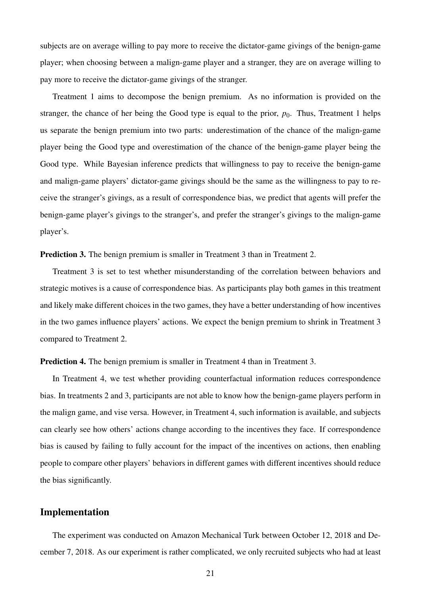subjects are on average willing to pay more to receive the dictator-game givings of the benign-game player; when choosing between a malign-game player and a stranger, they are on average willing to pay more to receive the dictator-game givings of the stranger.

Treatment 1 aims to decompose the benign premium. As no information is provided on the stranger, the chance of her being the Good type is equal to the prior,  $p_0$ . Thus, Treatment 1 helps us separate the benign premium into two parts: underestimation of the chance of the malign-game player being the Good type and overestimation of the chance of the benign-game player being the Good type. While Bayesian inference predicts that willingness to pay to receive the benign-game and malign-game players' dictator-game givings should be the same as the willingness to pay to receive the stranger's givings, as a result of correspondence bias, we predict that agents will prefer the benign-game player's givings to the stranger's, and prefer the stranger's givings to the malign-game player's.

#### Prediction 3. The benign premium is smaller in Treatment 3 than in Treatment 2.

Treatment 3 is set to test whether misunderstanding of the correlation between behaviors and strategic motives is a cause of correspondence bias. As participants play both games in this treatment and likely make different choices in the two games, they have a better understanding of how incentives in the two games influence players' actions. We expect the benign premium to shrink in Treatment 3 compared to Treatment 2.

#### Prediction 4. The benign premium is smaller in Treatment 4 than in Treatment 3.

In Treatment 4, we test whether providing counterfactual information reduces correspondence bias. In treatments 2 and 3, participants are not able to know how the benign-game players perform in the malign game, and vise versa. However, in Treatment 4, such information is available, and subjects can clearly see how others' actions change according to the incentives they face. If correspondence bias is caused by failing to fully account for the impact of the incentives on actions, then enabling people to compare other players' behaviors in different games with different incentives should reduce the bias significantly.

#### Implementation

The experiment was conducted on Amazon Mechanical Turk between October 12, 2018 and December 7, 2018. As our experiment is rather complicated, we only recruited subjects who had at least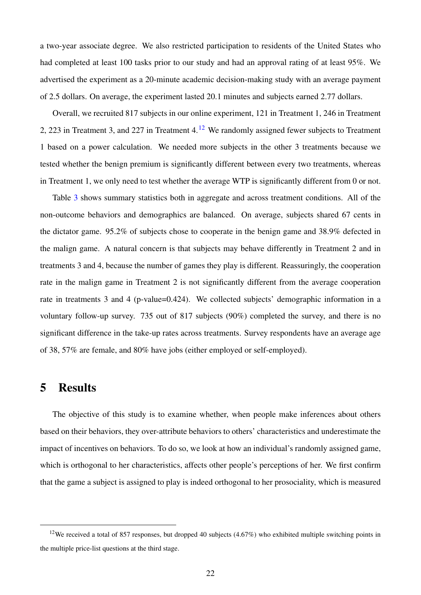a two-year associate degree. We also restricted participation to residents of the United States who had completed at least 100 tasks prior to our study and had an approval rating of at least 95%. We advertised the experiment as a 20-minute academic decision-making study with an average payment of 2.5 dollars. On average, the experiment lasted 20.1 minutes and subjects earned 2.77 dollars.

Overall, we recruited 817 subjects in our online experiment, 121 in Treatment 1, 246 in Treatment 2, 223 in Treatment 3, and 227 in Treatment 4.<sup>[12](#page-21-1)</sup> We randomly assigned fewer subjects to Treatment 1 based on a power calculation. We needed more subjects in the other 3 treatments because we tested whether the benign premium is significantly different between every two treatments, whereas in Treatment 1, we only need to test whether the average WTP is significantly different from 0 or not.

Table [3](#page-45-0) shows summary statistics both in aggregate and across treatment conditions. All of the non-outcome behaviors and demographics are balanced. On average, subjects shared 67 cents in the dictator game. 95.2% of subjects chose to cooperate in the benign game and 38.9% defected in the malign game. A natural concern is that subjects may behave differently in Treatment 2 and in treatments 3 and 4, because the number of games they play is different. Reassuringly, the cooperation rate in the malign game in Treatment 2 is not significantly different from the average cooperation rate in treatments 3 and 4 (p-value=0.424). We collected subjects' demographic information in a voluntary follow-up survey. 735 out of 817 subjects (90%) completed the survey, and there is no significant difference in the take-up rates across treatments. Survey respondents have an average age of 38, 57% are female, and 80% have jobs (either employed or self-employed).

# <span id="page-21-0"></span>5 Results

The objective of this study is to examine whether, when people make inferences about others based on their behaviors, they over-attribute behaviors to others' characteristics and underestimate the impact of incentives on behaviors. To do so, we look at how an individual's randomly assigned game, which is orthogonal to her characteristics, affects other people's perceptions of her. We first confirm that the game a subject is assigned to play is indeed orthogonal to her prosociality, which is measured

<span id="page-21-1"></span><sup>&</sup>lt;sup>12</sup>We received a total of 857 responses, but dropped 40 subjects (4.67%) who exhibited multiple switching points in the multiple price-list questions at the third stage.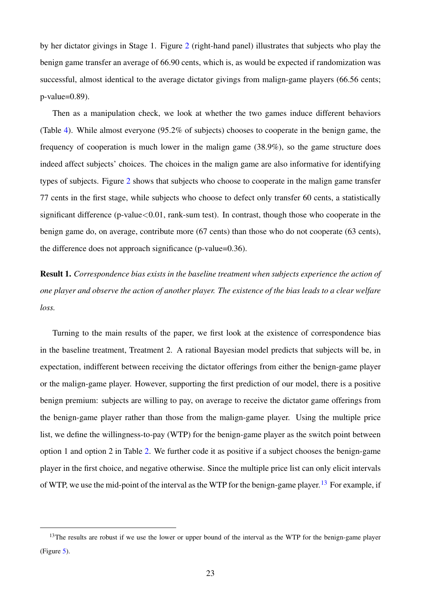by her dictator givings in Stage 1. Figure [2](#page-39-0) (right-hand panel) illustrates that subjects who play the benign game transfer an average of 66.90 cents, which is, as would be expected if randomization was successful, almost identical to the average dictator givings from malign-game players (66.56 cents; p-value=0.89).

Then as a manipulation check, we look at whether the two games induce different behaviors (Table [4\)](#page-46-0). While almost everyone (95.2% of subjects) chooses to cooperate in the benign game, the frequency of cooperation is much lower in the malign game (38.9%), so the game structure does indeed affect subjects' choices. The choices in the malign game are also informative for identifying types of subjects. Figure [2](#page-39-0) shows that subjects who choose to cooperate in the malign game transfer 77 cents in the first stage, while subjects who choose to defect only transfer 60 cents, a statistically significant difference (p-value $<0.01$ , rank-sum test). In contrast, though those who cooperate in the benign game do, on average, contribute more (67 cents) than those who do not cooperate (63 cents), the difference does not approach significance (p-value=0.36).

Result 1. *Correspondence bias exists in the baseline treatment when subjects experience the action of one player and observe the action of another player. The existence of the bias leads to a clear welfare loss.*

Turning to the main results of the paper, we first look at the existence of correspondence bias in the baseline treatment, Treatment 2. A rational Bayesian model predicts that subjects will be, in expectation, indifferent between receiving the dictator offerings from either the benign-game player or the malign-game player. However, supporting the first prediction of our model, there is a positive benign premium: subjects are willing to pay, on average to receive the dictator game offerings from the benign-game player rather than those from the malign-game player. Using the multiple price list, we define the willingness-to-pay (WTP) for the benign-game player as the switch point between option 1 and option 2 in Table [2.](#page-44-0) We further code it as positive if a subject chooses the benign-game player in the first choice, and negative otherwise. Since the multiple price list can only elicit intervals of WTP, we use the mid-point of the interval as the WTP for the benign-game player.<sup>[13](#page-22-0)</sup> For example, if

<span id="page-22-0"></span><sup>&</sup>lt;sup>13</sup>The results are robust if we use the lower or upper bound of the interval as the WTP for the benign-game player (Figure [5\)](#page-42-0).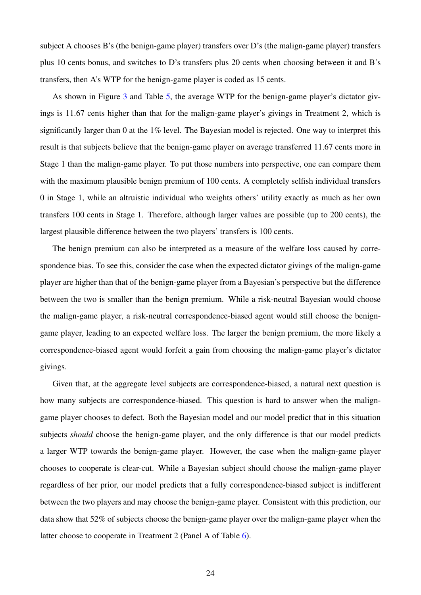subject A chooses B's (the benign-game player) transfers over D's (the malign-game player) transfers plus 10 cents bonus, and switches to D's transfers plus 20 cents when choosing between it and B's transfers, then A's WTP for the benign-game player is coded as 15 cents.

As shown in Figure [3](#page-40-0) and Table [5,](#page-47-0) the average WTP for the benign-game player's dictator givings is 11.67 cents higher than that for the malign-game player's givings in Treatment 2, which is significantly larger than 0 at the 1% level. The Bayesian model is rejected. One way to interpret this result is that subjects believe that the benign-game player on average transferred 11.67 cents more in Stage 1 than the malign-game player. To put those numbers into perspective, one can compare them with the maximum plausible benign premium of 100 cents. A completely selfish individual transfers 0 in Stage 1, while an altruistic individual who weights others' utility exactly as much as her own transfers 100 cents in Stage 1. Therefore, although larger values are possible (up to 200 cents), the largest plausible difference between the two players' transfers is 100 cents.

The benign premium can also be interpreted as a measure of the welfare loss caused by correspondence bias. To see this, consider the case when the expected dictator givings of the malign-game player are higher than that of the benign-game player from a Bayesian's perspective but the difference between the two is smaller than the benign premium. While a risk-neutral Bayesian would choose the malign-game player, a risk-neutral correspondence-biased agent would still choose the benigngame player, leading to an expected welfare loss. The larger the benign premium, the more likely a correspondence-biased agent would forfeit a gain from choosing the malign-game player's dictator givings.

Given that, at the aggregate level subjects are correspondence-biased, a natural next question is how many subjects are correspondence-biased. This question is hard to answer when the maligngame player chooses to defect. Both the Bayesian model and our model predict that in this situation subjects *should* choose the benign-game player, and the only difference is that our model predicts a larger WTP towards the benign-game player. However, the case when the malign-game player chooses to cooperate is clear-cut. While a Bayesian subject should choose the malign-game player regardless of her prior, our model predicts that a fully correspondence-biased subject is indifferent between the two players and may choose the benign-game player. Consistent with this prediction, our data show that 52% of subjects choose the benign-game player over the malign-game player when the latter choose to cooperate in Treatment 2 (Panel A of Table [6\)](#page-48-0).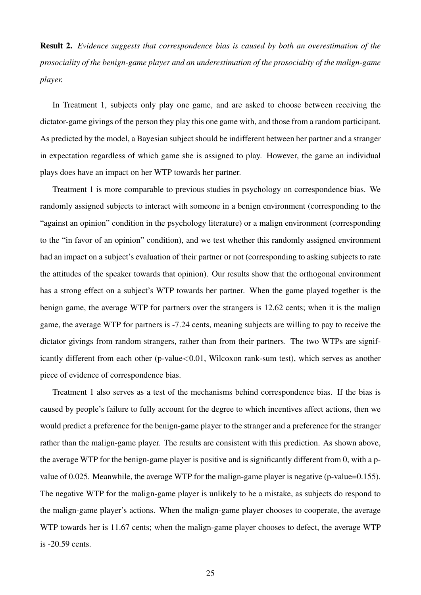Result 2. *Evidence suggests that correspondence bias is caused by both an overestimation of the prosociality of the benign-game player and an underestimation of the prosociality of the malign-game player.*

In Treatment 1, subjects only play one game, and are asked to choose between receiving the dictator-game givings of the person they play this one game with, and those from a random participant. As predicted by the model, a Bayesian subject should be indifferent between her partner and a stranger in expectation regardless of which game she is assigned to play. However, the game an individual plays does have an impact on her WTP towards her partner.

Treatment 1 is more comparable to previous studies in psychology on correspondence bias. We randomly assigned subjects to interact with someone in a benign environment (corresponding to the "against an opinion" condition in the psychology literature) or a malign environment (corresponding to the "in favor of an opinion" condition), and we test whether this randomly assigned environment had an impact on a subject's evaluation of their partner or not (corresponding to asking subjects to rate the attitudes of the speaker towards that opinion). Our results show that the orthogonal environment has a strong effect on a subject's WTP towards her partner. When the game played together is the benign game, the average WTP for partners over the strangers is 12.62 cents; when it is the malign game, the average WTP for partners is -7.24 cents, meaning subjects are willing to pay to receive the dictator givings from random strangers, rather than from their partners. The two WTPs are significantly different from each other (p-value < 0.01, Wilcoxon rank-sum test), which serves as another piece of evidence of correspondence bias.

Treatment 1 also serves as a test of the mechanisms behind correspondence bias. If the bias is caused by people's failure to fully account for the degree to which incentives affect actions, then we would predict a preference for the benign-game player to the stranger and a preference for the stranger rather than the malign-game player. The results are consistent with this prediction. As shown above, the average WTP for the benign-game player is positive and is significantly different from 0, with a pvalue of 0.025. Meanwhile, the average WTP for the malign-game player is negative (p-value=0.155). The negative WTP for the malign-game player is unlikely to be a mistake, as subjects do respond to the malign-game player's actions. When the malign-game player chooses to cooperate, the average WTP towards her is 11.67 cents; when the malign-game player chooses to defect, the average WTP is -20.59 cents.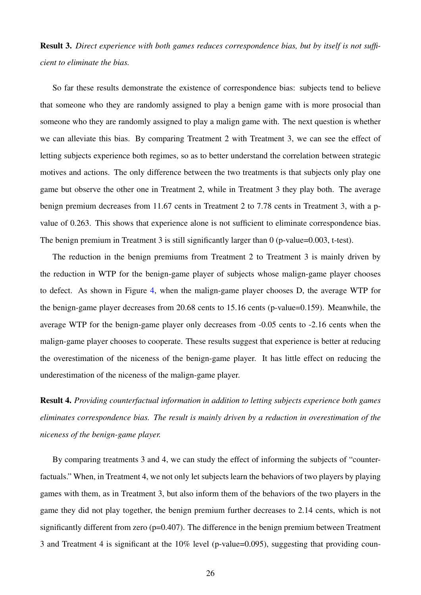Result 3. *Direct experience with both games reduces correspondence bias, but by itself is not sufficient to eliminate the bias.*

So far these results demonstrate the existence of correspondence bias: subjects tend to believe that someone who they are randomly assigned to play a benign game with is more prosocial than someone who they are randomly assigned to play a malign game with. The next question is whether we can alleviate this bias. By comparing Treatment 2 with Treatment 3, we can see the effect of letting subjects experience both regimes, so as to better understand the correlation between strategic motives and actions. The only difference between the two treatments is that subjects only play one game but observe the other one in Treatment 2, while in Treatment 3 they play both. The average benign premium decreases from 11.67 cents in Treatment 2 to 7.78 cents in Treatment 3, with a pvalue of 0.263. This shows that experience alone is not sufficient to eliminate correspondence bias. The benign premium in Treatment 3 is still significantly larger than 0 (p-value=0.003, t-test).

The reduction in the benign premiums from Treatment 2 to Treatment 3 is mainly driven by the reduction in WTP for the benign-game player of subjects whose malign-game player chooses to defect. As shown in Figure [4,](#page-41-0) when the malign-game player chooses D, the average WTP for the benign-game player decreases from 20.68 cents to 15.16 cents (p-value=0.159). Meanwhile, the average WTP for the benign-game player only decreases from -0.05 cents to -2.16 cents when the malign-game player chooses to cooperate. These results suggest that experience is better at reducing the overestimation of the niceness of the benign-game player. It has little effect on reducing the underestimation of the niceness of the malign-game player.

Result 4. *Providing counterfactual information in addition to letting subjects experience both games eliminates correspondence bias. The result is mainly driven by a reduction in overestimation of the niceness of the benign-game player.*

By comparing treatments 3 and 4, we can study the effect of informing the subjects of "counterfactuals." When, in Treatment 4, we not only let subjects learn the behaviors of two players by playing games with them, as in Treatment 3, but also inform them of the behaviors of the two players in the game they did not play together, the benign premium further decreases to 2.14 cents, which is not significantly different from zero  $(p=0.407)$ . The difference in the benign premium between Treatment 3 and Treatment 4 is significant at the 10% level (p-value=0.095), suggesting that providing coun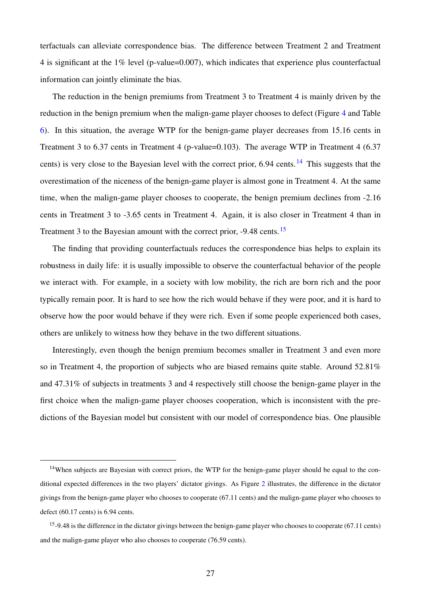terfactuals can alleviate correspondence bias. The difference between Treatment 2 and Treatment 4 is significant at the 1% level (p-value=0.007), which indicates that experience plus counterfactual information can jointly eliminate the bias.

The reduction in the benign premiums from Treatment 3 to Treatment 4 is mainly driven by the reduction in the benign premium when the malign-game player chooses to defect (Figure [4](#page-41-0) and Table [6\)](#page-48-0). In this situation, the average WTP for the benign-game player decreases from 15.16 cents in Treatment 3 to 6.37 cents in Treatment 4 (p-value=0.103). The average WTP in Treatment 4 (6.37 cents) is very close to the Bayesian level with the correct prior,  $6.94$  cents.<sup>[14](#page-26-0)</sup> This suggests that the overestimation of the niceness of the benign-game player is almost gone in Treatment 4. At the same time, when the malign-game player chooses to cooperate, the benign premium declines from -2.16 cents in Treatment 3 to -3.65 cents in Treatment 4. Again, it is also closer in Treatment 4 than in Treatment 3 to the Bayesian amount with the correct prior, -9.48 cents.<sup>[15](#page-26-1)</sup>

The finding that providing counterfactuals reduces the correspondence bias helps to explain its robustness in daily life: it is usually impossible to observe the counterfactual behavior of the people we interact with. For example, in a society with low mobility, the rich are born rich and the poor typically remain poor. It is hard to see how the rich would behave if they were poor, and it is hard to observe how the poor would behave if they were rich. Even if some people experienced both cases, others are unlikely to witness how they behave in the two different situations.

Interestingly, even though the benign premium becomes smaller in Treatment 3 and even more so in Treatment 4, the proportion of subjects who are biased remains quite stable. Around 52.81% and 47.31% of subjects in treatments 3 and 4 respectively still choose the benign-game player in the first choice when the malign-game player chooses cooperation, which is inconsistent with the predictions of the Bayesian model but consistent with our model of correspondence bias. One plausible

<span id="page-26-0"></span><sup>&</sup>lt;sup>14</sup>When subjects are Bayesian with correct priors, the WTP for the benign-game player should be equal to the conditional expected differences in the two players' dictator givings. As Figure [2](#page-39-0) illustrates, the difference in the dictator givings from the benign-game player who chooses to cooperate (67.11 cents) and the malign-game player who chooses to defect (60.17 cents) is 6.94 cents.

<span id="page-26-1"></span> $15-9.48$  is the difference in the dictator givings between the benign-game player who chooses to cooperate (67.11 cents) and the malign-game player who also chooses to cooperate (76.59 cents).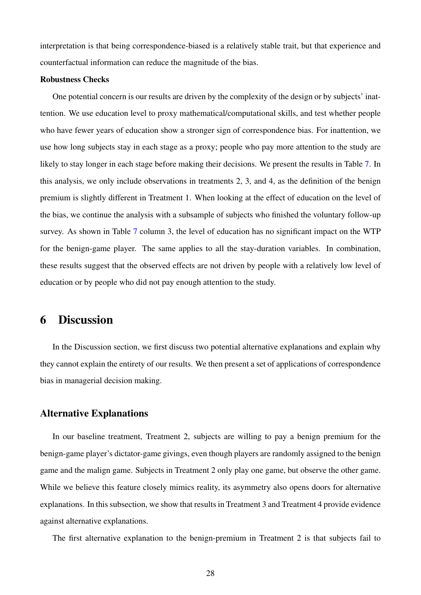interpretation is that being correspondence-biased is a relatively stable trait, but that experience and counterfactual information can reduce the magnitude of the bias.

#### Robustness Checks

One potential concern is our results are driven by the complexity of the design or by subjects' inattention. We use education level to proxy mathematical/computational skills, and test whether people who have fewer years of education show a stronger sign of correspondence bias. For inattention, we use how long subjects stay in each stage as a proxy; people who pay more attention to the study are likely to stay longer in each stage before making their decisions. We present the results in Table [7.](#page-49-0) In this analysis, we only include observations in treatments 2, 3, and 4, as the definition of the benign premium is slightly different in Treatment 1. When looking at the effect of education on the level of the bias, we continue the analysis with a subsample of subjects who finished the voluntary follow-up survey. As shown in Table [7](#page-49-0) column 3, the level of education has no significant impact on the WTP for the benign-game player. The same applies to all the stay-duration variables. In combination, these results suggest that the observed effects are not driven by people with a relatively low level of education or by people who did not pay enough attention to the study.

# <span id="page-27-0"></span>6 Discussion

In the Discussion section, we first discuss two potential alternative explanations and explain why they cannot explain the entirety of our results. We then present a set of applications of correspondence bias in managerial decision making.

## Alternative Explanations

In our baseline treatment, Treatment 2, subjects are willing to pay a benign premium for the benign-game player's dictator-game givings, even though players are randomly assigned to the benign game and the malign game. Subjects in Treatment 2 only play one game, but observe the other game. While we believe this feature closely mimics reality, its asymmetry also opens doors for alternative explanations. In this subsection, we show that results in Treatment 3 and Treatment 4 provide evidence against alternative explanations.

The first alternative explanation to the benign-premium in Treatment 2 is that subjects fail to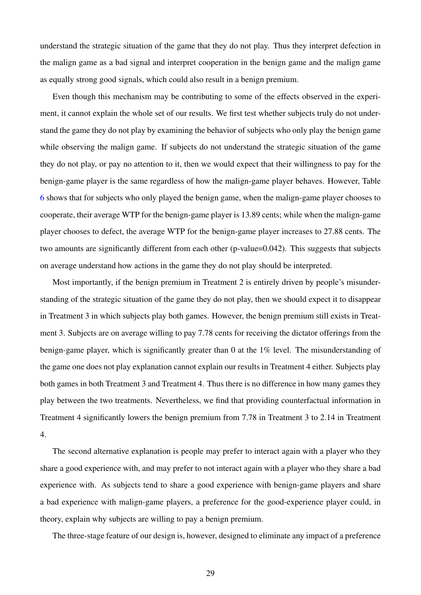understand the strategic situation of the game that they do not play. Thus they interpret defection in the malign game as a bad signal and interpret cooperation in the benign game and the malign game as equally strong good signals, which could also result in a benign premium.

Even though this mechanism may be contributing to some of the effects observed in the experiment, it cannot explain the whole set of our results. We first test whether subjects truly do not understand the game they do not play by examining the behavior of subjects who only play the benign game while observing the malign game. If subjects do not understand the strategic situation of the game they do not play, or pay no attention to it, then we would expect that their willingness to pay for the benign-game player is the same regardless of how the malign-game player behaves. However, Table [6](#page-48-0) shows that for subjects who only played the benign game, when the malign-game player chooses to cooperate, their average WTP for the benign-game player is 13.89 cents; while when the malign-game player chooses to defect, the average WTP for the benign-game player increases to 27.88 cents. The two amounts are significantly different from each other (p-value=0.042). This suggests that subjects on average understand how actions in the game they do not play should be interpreted.

Most importantly, if the benign premium in Treatment 2 is entirely driven by people's misunderstanding of the strategic situation of the game they do not play, then we should expect it to disappear in Treatment 3 in which subjects play both games. However, the benign premium still exists in Treatment 3. Subjects are on average willing to pay 7.78 cents for receiving the dictator offerings from the benign-game player, which is significantly greater than 0 at the 1% level. The misunderstanding of the game one does not play explanation cannot explain our results in Treatment 4 either. Subjects play both games in both Treatment 3 and Treatment 4. Thus there is no difference in how many games they play between the two treatments. Nevertheless, we find that providing counterfactual information in Treatment 4 significantly lowers the benign premium from 7.78 in Treatment 3 to 2.14 in Treatment 4.

The second alternative explanation is people may prefer to interact again with a player who they share a good experience with, and may prefer to not interact again with a player who they share a bad experience with. As subjects tend to share a good experience with benign-game players and share a bad experience with malign-game players, a preference for the good-experience player could, in theory, explain why subjects are willing to pay a benign premium.

The three-stage feature of our design is, however, designed to eliminate any impact of a preference

29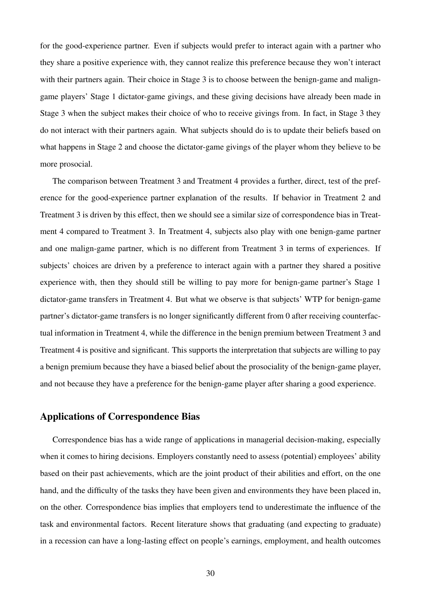for the good-experience partner. Even if subjects would prefer to interact again with a partner who they share a positive experience with, they cannot realize this preference because they won't interact with their partners again. Their choice in Stage 3 is to choose between the benign-game and maligngame players' Stage 1 dictator-game givings, and these giving decisions have already been made in Stage 3 when the subject makes their choice of who to receive givings from. In fact, in Stage 3 they do not interact with their partners again. What subjects should do is to update their beliefs based on what happens in Stage 2 and choose the dictator-game givings of the player whom they believe to be more prosocial.

The comparison between Treatment 3 and Treatment 4 provides a further, direct, test of the preference for the good-experience partner explanation of the results. If behavior in Treatment 2 and Treatment 3 is driven by this effect, then we should see a similar size of correspondence bias in Treatment 4 compared to Treatment 3. In Treatment 4, subjects also play with one benign-game partner and one malign-game partner, which is no different from Treatment 3 in terms of experiences. If subjects' choices are driven by a preference to interact again with a partner they shared a positive experience with, then they should still be willing to pay more for benign-game partner's Stage 1 dictator-game transfers in Treatment 4. But what we observe is that subjects' WTP for benign-game partner's dictator-game transfers is no longer significantly different from 0 after receiving counterfactual information in Treatment 4, while the difference in the benign premium between Treatment 3 and Treatment 4 is positive and significant. This supports the interpretation that subjects are willing to pay a benign premium because they have a biased belief about the prosociality of the benign-game player, and not because they have a preference for the benign-game player after sharing a good experience.

# Applications of Correspondence Bias

Correspondence bias has a wide range of applications in managerial decision-making, especially when it comes to hiring decisions. Employers constantly need to assess (potential) employees' ability based on their past achievements, which are the joint product of their abilities and effort, on the one hand, and the difficulty of the tasks they have been given and environments they have been placed in, on the other. Correspondence bias implies that employers tend to underestimate the influence of the task and environmental factors. Recent literature shows that graduating (and expecting to graduate) in a recession can have a long-lasting effect on people's earnings, employment, and health outcomes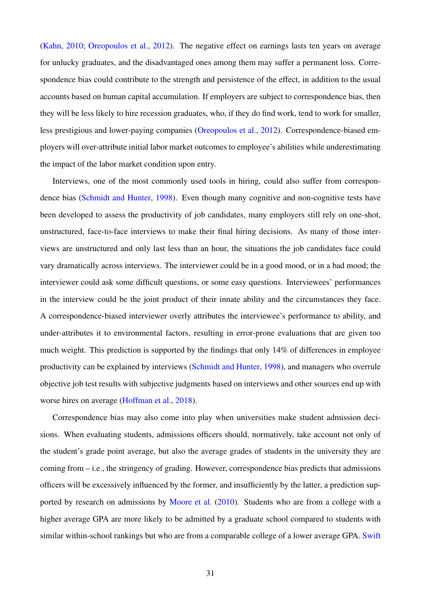[\(Kahn,](#page-35-10) [2010;](#page-35-10) [Oreopoulos et al.,](#page-36-8) [2012\)](#page-36-8). The negative effect on earnings lasts ten years on average for unlucky graduates, and the disadvantaged ones among them may suffer a permanent loss. Correspondence bias could contribute to the strength and persistence of the effect, in addition to the usual accounts based on human capital accumulation. If employers are subject to correspondence bias, then they will be less likely to hire recession graduates, who, if they do find work, tend to work for smaller, less prestigious and lower-paying companies [\(Oreopoulos et al.,](#page-36-8) [2012\)](#page-36-8). Correspondence-biased employers will over-attribute initial labor market outcomes to employee's abilities while underestimating the impact of the labor market condition upon entry.

Interviews, one of the most commonly used tools in hiring, could also suffer from correspondence bias [\(Schmidt and Hunter,](#page-36-9) [1998\)](#page-36-9). Even though many cognitive and non-cognitive tests have been developed to assess the productivity of job candidates, many employers still rely on one-shot, unstructured, face-to-face interviews to make their final hiring decisions. As many of those interviews are unstructured and only last less than an hour, the situations the job candidates face could vary dramatically across interviews. The interviewer could be in a good mood, or in a bad mood; the interviewer could ask some difficult questions, or some easy questions. Interviewees' performances in the interview could be the joint product of their innate ability and the circumstances they face. A correspondence-biased interviewer overly attributes the interviewee's performance to ability, and under-attributes it to environmental factors, resulting in error-prone evaluations that are given too much weight. This prediction is supported by the findings that only 14% of differences in employee productivity can be explained by interviews [\(Schmidt and Hunter,](#page-36-9) [1998\)](#page-36-9), and managers who overrule objective job test results with subjective judgments based on interviews and other sources end up with worse hires on average [\(Hoffman et al.,](#page-35-11) [2018\)](#page-35-11).

Correspondence bias may also come into play when universities make student admission decisions. When evaluating students, admissions officers should, normatively, take account not only of the student's grade point average, but also the average grades of students in the university they are coming from – i.e., the stringency of grading. However, correspondence bias predicts that admissions officers will be excessively influenced by the former, and insufficiently by the latter, a prediction sup-ported by research on admissions by [Moore et al.](#page-36-10) [\(2010\)](#page-36-10). Students who are from a college with a higher average GPA are more likely to be admitted by a graduate school compared to students with similar within-school rankings but who are from a comparable college of a lower average GPA. [Swift](#page-37-2)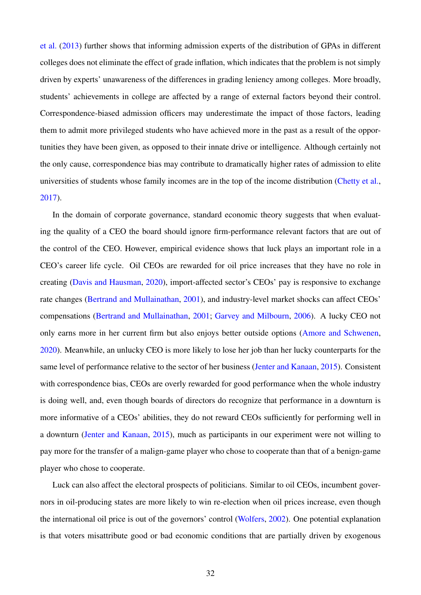[et al.](#page-37-2) [\(2013\)](#page-37-2) further shows that informing admission experts of the distribution of GPAs in different colleges does not eliminate the effect of grade inflation, which indicates that the problem is not simply driven by experts' unawareness of the differences in grading leniency among colleges. More broadly, students' achievements in college are affected by a range of external factors beyond their control. Correspondence-biased admission officers may underestimate the impact of those factors, leading them to admit more privileged students who have achieved more in the past as a result of the opportunities they have been given, as opposed to their innate drive or intelligence. Although certainly not the only cause, correspondence bias may contribute to dramatically higher rates of admission to elite universities of students whose family incomes are in the top of the income distribution [\(Chetty et al.,](#page-34-8) [2017\)](#page-34-8).

In the domain of corporate governance, standard economic theory suggests that when evaluating the quality of a CEO the board should ignore firm-performance relevant factors that are out of the control of the CEO. However, empirical evidence shows that luck plays an important role in a CEO's career life cycle. Oil CEOs are rewarded for oil price increases that they have no role in creating [\(Davis and Hausman,](#page-34-9) [2020\)](#page-34-9), import-affected sector's CEOs' pay is responsive to exchange rate changes [\(Bertrand and Mullainathan,](#page-33-5) [2001\)](#page-33-5), and industry-level market shocks can affect CEOs' compensations [\(Bertrand and Mullainathan,](#page-33-5) [2001;](#page-33-5) [Garvey and Milbourn,](#page-34-10) [2006\)](#page-34-10). A lucky CEO not only earns more in her current firm but also enjoys better outside options [\(Amore and Schwenen,](#page-33-6) [2020\)](#page-33-6). Meanwhile, an unlucky CEO is more likely to lose her job than her lucky counterparts for the same level of performance relative to the sector of her business [\(Jenter and Kanaan,](#page-35-12) [2015\)](#page-35-12). Consistent with correspondence bias, CEOs are overly rewarded for good performance when the whole industry is doing well, and, even though boards of directors do recognize that performance in a downturn is more informative of a CEOs' abilities, they do not reward CEOs sufficiently for performing well in a downturn [\(Jenter and Kanaan,](#page-35-12) [2015\)](#page-35-12), much as participants in our experiment were not willing to pay more for the transfer of a malign-game player who chose to cooperate than that of a benign-game player who chose to cooperate.

Luck can also affect the electoral prospects of politicians. Similar to oil CEOs, incumbent governors in oil-producing states are more likely to win re-election when oil prices increase, even though the international oil price is out of the governors' control [\(Wolfers,](#page-37-3) [2002\)](#page-37-3). One potential explanation is that voters misattribute good or bad economic conditions that are partially driven by exogenous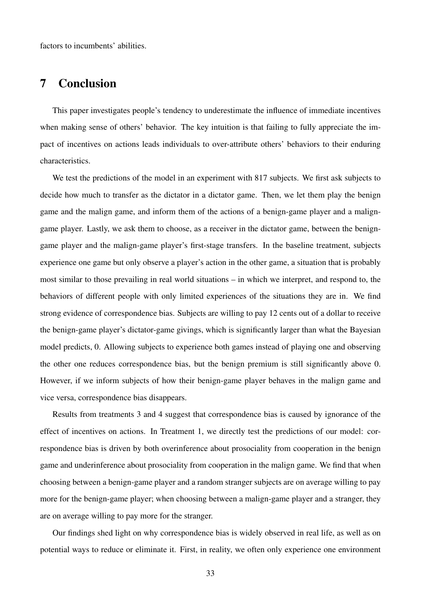factors to incumbents' abilities.

# <span id="page-32-0"></span>7 Conclusion

This paper investigates people's tendency to underestimate the influence of immediate incentives when making sense of others' behavior. The key intuition is that failing to fully appreciate the impact of incentives on actions leads individuals to over-attribute others' behaviors to their enduring characteristics.

We test the predictions of the model in an experiment with 817 subjects. We first ask subjects to decide how much to transfer as the dictator in a dictator game. Then, we let them play the benign game and the malign game, and inform them of the actions of a benign-game player and a maligngame player. Lastly, we ask them to choose, as a receiver in the dictator game, between the benigngame player and the malign-game player's first-stage transfers. In the baseline treatment, subjects experience one game but only observe a player's action in the other game, a situation that is probably most similar to those prevailing in real world situations – in which we interpret, and respond to, the behaviors of different people with only limited experiences of the situations they are in. We find strong evidence of correspondence bias. Subjects are willing to pay 12 cents out of a dollar to receive the benign-game player's dictator-game givings, which is significantly larger than what the Bayesian model predicts, 0. Allowing subjects to experience both games instead of playing one and observing the other one reduces correspondence bias, but the benign premium is still significantly above 0. However, if we inform subjects of how their benign-game player behaves in the malign game and vice versa, correspondence bias disappears.

Results from treatments 3 and 4 suggest that correspondence bias is caused by ignorance of the effect of incentives on actions. In Treatment 1, we directly test the predictions of our model: correspondence bias is driven by both overinference about prosociality from cooperation in the benign game and underinference about prosociality from cooperation in the malign game. We find that when choosing between a benign-game player and a random stranger subjects are on average willing to pay more for the benign-game player; when choosing between a malign-game player and a stranger, they are on average willing to pay more for the stranger.

Our findings shed light on why correspondence bias is widely observed in real life, as well as on potential ways to reduce or eliminate it. First, in reality, we often only experience one environment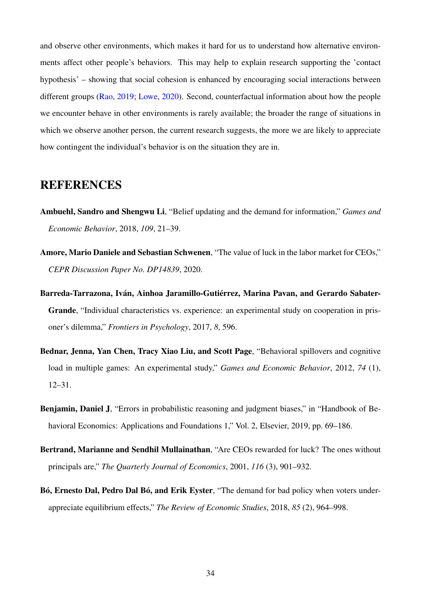and observe other environments, which makes it hard for us to understand how alternative environments affect other people's behaviors. This may help to explain research supporting the 'contact hypothesis' – showing that social cohesion is enhanced by encouraging social interactions between different groups [\(Rao,](#page-36-11) [2019;](#page-36-11) [Lowe,](#page-35-13) [2020\)](#page-35-13). Second, counterfactual information about how the people we encounter behave in other environments is rarely available; the broader the range of situations in which we observe another person, the current research suggests, the more we are likely to appreciate how contingent the individual's behavior is on the situation they are in.

# **REFERENCES**

- <span id="page-33-2"></span>Ambuehl, Sandro and Shengwu Li, "Belief updating and the demand for information," *Games and Economic Behavior*, 2018, *109*, 21–39.
- <span id="page-33-6"></span>Amore, Mario Daniele and Sebastian Schwenen, "The value of luck in the labor market for CEOs," *CEPR Discussion Paper No. DP14839*, 2020.
- <span id="page-33-4"></span>Barreda-Tarrazona, Iván, Ainhoa Jaramillo-Gutiérrez, Marina Pavan, and Gerardo Sabater-Grande, "Individual characteristics vs. experience: an experimental study on cooperation in prisoner's dilemma," *Frontiers in Psychology*, 2017, *8*, 596.
- <span id="page-33-0"></span>Bednar, Jenna, Yan Chen, Tracy Xiao Liu, and Scott Page, "Behavioral spillovers and cognitive load in multiple games: An experimental study," *Games and Economic Behavior*, 2012, *74* (1), 12–31.
- <span id="page-33-3"></span>Benjamin, Daniel J, "Errors in probabilistic reasoning and judgment biases," in "Handbook of Behavioral Economics: Applications and Foundations 1," Vol. 2, Elsevier, 2019, pp. 69–186.
- <span id="page-33-5"></span>Bertrand, Marianne and Sendhil Mullainathan, "Are CEOs rewarded for luck? The ones without principals are," *The Quarterly Journal of Economics*, 2001, *116* (3), 901–932.
- <span id="page-33-1"></span>Bó, Ernesto Dal, Pedro Dal Bó, and Erik Eyster, "The demand for bad policy when voters underappreciate equilibrium effects," *The Review of Economic Studies*, 2018, *85* (2), 964–998.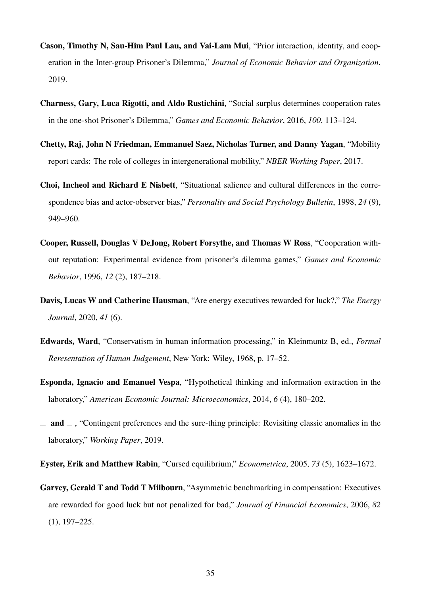- <span id="page-34-2"></span>Cason, Timothy N, Sau-Him Paul Lau, and Vai-Lam Mui, "Prior interaction, identity, and cooperation in the Inter-group Prisoner's Dilemma," *Journal of Economic Behavior and Organization*, 2019.
- <span id="page-34-0"></span>Charness, Gary, Luca Rigotti, and Aldo Rustichini, "Social surplus determines cooperation rates in the one-shot Prisoner's Dilemma," *Games and Economic Behavior*, 2016, *100*, 113–124.
- <span id="page-34-8"></span>Chetty, Raj, John N Friedman, Emmanuel Saez, Nicholas Turner, and Danny Yagan, "Mobility report cards: The role of colleges in intergenerational mobility," *NBER Working Paper*, 2017.
- <span id="page-34-6"></span>Choi, Incheol and Richard E Nisbett, "Situational salience and cultural differences in the correspondence bias and actor-observer bias," *Personality and Social Psychology Bulletin*, 1998, *24* (9), 949–960.
- <span id="page-34-7"></span>Cooper, Russell, Douglas V DeJong, Robert Forsythe, and Thomas W Ross, "Cooperation without reputation: Experimental evidence from prisoner's dilemma games," *Games and Economic Behavior*, 1996, *12* (2), 187–218.
- <span id="page-34-9"></span>Davis, Lucas W and Catherine Hausman, "Are energy executives rewarded for luck?," *The Energy Journal*, 2020, *41* (6).
- <span id="page-34-5"></span>Edwards, Ward, "Conservatism in human information processing," in Kleinmuntz B, ed., *Formal Reresentation of Human Judgement*, New York: Wiley, 1968, p. 17–52.
- <span id="page-34-3"></span>Esponda, Ignacio and Emanuel Vespa, "Hypothetical thinking and information extraction in the laboratory," *American Economic Journal: Microeconomics*, 2014, *6* (4), 180–202.
- <span id="page-34-4"></span> $\equiv$  and  $\equiv$ , "Contingent preferences and the sure-thing principle: Revisiting classic anomalies in the laboratory," *Working Paper*, 2019.

<span id="page-34-1"></span>Eyster, Erik and Matthew Rabin, "Cursed equilibrium," *Econometrica*, 2005, *73* (5), 1623–1672.

<span id="page-34-10"></span>Garvey, Gerald T and Todd T Milbourn, "Asymmetric benchmarking in compensation: Executives are rewarded for good luck but not penalized for bad," *Journal of Financial Economics*, 2006, *82* (1), 197–225.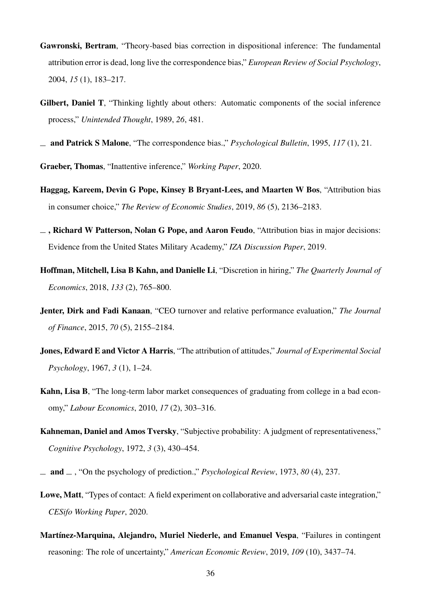- <span id="page-35-8"></span>Gawronski, Bertram, "Theory-based bias correction in dispositional inference: The fundamental attribution error is dead, long live the correspondence bias," *European Review of Social Psychology*, 2004, *15* (1), 183–217.
- <span id="page-35-9"></span>Gilbert, Daniel T, "Thinking lightly about others: Automatic components of the social inference process," *Unintended Thought*, 1989, *26*, 481.
- <span id="page-35-1"></span>and Patrick S Malone, "The correspondence bias.," *Psychological Bulletin*, 1995, *117* (1), 21.

<span id="page-35-4"></span>Graeber, Thomas, "Inattentive inference," *Working Paper*, 2020.

- <span id="page-35-2"></span>Haggag, Kareem, Devin G Pope, Kinsey B Bryant-Lees, and Maarten W Bos, "Attribution bias in consumer choice," *The Review of Economic Studies*, 2019, *86* (5), 2136–2183.
- <span id="page-35-3"></span> $\overline{\phantom{a}}$ , Richard W Patterson, Nolan G Pope, and Aaron Feudo, "Attribution bias in major decisions: Evidence from the United States Military Academy," *IZA Discussion Paper*, 2019.
- <span id="page-35-11"></span>Hoffman, Mitchell, Lisa B Kahn, and Danielle Li, "Discretion in hiring," *The Quarterly Journal of Economics*, 2018, *133* (2), 765–800.
- <span id="page-35-12"></span>Jenter, Dirk and Fadi Kanaan, "CEO turnover and relative performance evaluation," *The Journal of Finance*, 2015, *70* (5), 2155–2184.
- <span id="page-35-0"></span>Jones, Edward E and Victor A Harris, "The attribution of attitudes," *Journal of Experimental Social Psychology*, 1967, *3* (1), 1–24.
- <span id="page-35-10"></span>Kahn, Lisa B, "The long-term labor market consequences of graduating from college in a bad economy," *Labour Economics*, 2010, *17* (2), 303–316.
- <span id="page-35-6"></span>Kahneman, Daniel and Amos Tversky, "Subjective probability: A judgment of representativeness," *Cognitive Psychology*, 1972, *3* (3), 430–454.
- <span id="page-35-7"></span>and , "On the psychology of prediction.," *Psychological Review*, 1973, *80* (4), 237.
- <span id="page-35-13"></span>Lowe, Matt, "Types of contact: A field experiment on collaborative and adversarial caste integration," *CESifo Working Paper*, 2020.
- <span id="page-35-5"></span>Martínez-Marquina, Alejandro, Muriel Niederle, and Emanuel Vespa, "Failures in contingent reasoning: The role of uncertainty," *American Economic Review*, 2019, *109* (10), 3437–74.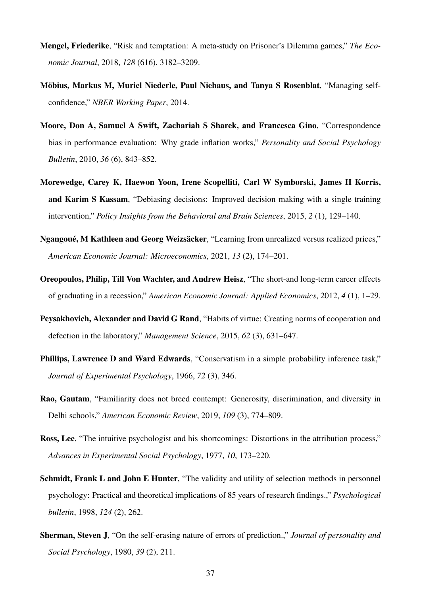- <span id="page-36-1"></span>Mengel, Friederike, "Risk and temptation: A meta-study on Prisoner's Dilemma games," *The Economic Journal*, 2018, *128* (616), 3182–3209.
- <span id="page-36-5"></span>Möbius, Markus M, Muriel Niederle, Paul Niehaus, and Tanya S Rosenblat, "Managing selfconfidence," *NBER Working Paper*, 2014.
- <span id="page-36-10"></span>Moore, Don A, Samuel A Swift, Zachariah S Sharek, and Francesca Gino, "Correspondence bias in performance evaluation: Why grade inflation works," *Personality and Social Psychology Bulletin*, 2010, *36* (6), 843–852.
- <span id="page-36-7"></span>Morewedge, Carey K, Haewon Yoon, Irene Scopelliti, Carl W Symborski, James H Korris, and Karim S Kassam, "Debiasing decisions: Improved decision making with a single training intervention," *Policy Insights from the Behavioral and Brain Sciences*, 2015, *2* (1), 129–140.
- <span id="page-36-3"></span>Ngangoué, M Kathleen and Georg Weizsäcker, "Learning from unrealized versus realized prices," *American Economic Journal: Microeconomics*, 2021, *13* (2), 174–201.
- <span id="page-36-8"></span>Oreopoulos, Philip, Till Von Wachter, and Andrew Heisz, "The short-and long-term career effects of graduating in a recession," *American Economic Journal: Applied Economics*, 2012, *4* (1), 1–29.
- <span id="page-36-2"></span>Peysakhovich, Alexander and David G Rand, "Habits of virtue: Creating norms of cooperation and defection in the laboratory," *Management Science*, 2015, *62* (3), 631–647.
- <span id="page-36-4"></span>Phillips, Lawrence D and Ward Edwards, "Conservatism in a simple probability inference task," *Journal of Experimental Psychology*, 1966, *72* (3), 346.
- <span id="page-36-11"></span>Rao, Gautam, "Familiarity does not breed contempt: Generosity, discrimination, and diversity in Delhi schools," *American Economic Review*, 2019, *109* (3), 774–809.
- <span id="page-36-0"></span>Ross, Lee, "The intuitive psychologist and his shortcomings: Distortions in the attribution process," *Advances in Experimental Social Psychology*, 1977, *10*, 173–220.
- <span id="page-36-9"></span>Schmidt, Frank L and John E Hunter, "The validity and utility of selection methods in personnel psychology: Practical and theoretical implications of 85 years of research findings.," *Psychological bulletin*, 1998, *124* (2), 262.
- <span id="page-36-6"></span>Sherman, Steven J, "On the self-erasing nature of errors of prediction.," *Journal of personality and Social Psychology*, 1980, *39* (2), 211.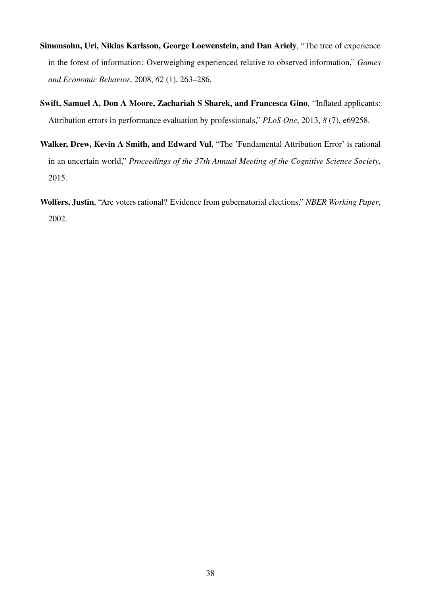- <span id="page-37-0"></span>Simonsohn, Uri, Niklas Karlsson, George Loewenstein, and Dan Ariely, "The tree of experience in the forest of information: Overweighing experienced relative to observed information," *Games and Economic Behavior*, 2008, *62* (1), 263–286.
- <span id="page-37-2"></span>Swift, Samuel A, Don A Moore, Zachariah S Sharek, and Francesca Gino, "Inflated applicants: Attribution errors in performance evaluation by professionals," *PLoS One*, 2013, *8* (7), e69258.
- <span id="page-37-1"></span>Walker, Drew, Kevin A Smith, and Edward Vul, "The 'Fundamental Attribution Error' is rational in an uncertain world," *Proceedings of the 37th Annual Meeting of the Cognitive Science Society*, 2015.
- <span id="page-37-3"></span>Wolfers, Justin, "Are voters rational? Evidence from gubernatorial elections," *NBER Working Paper*, 2002.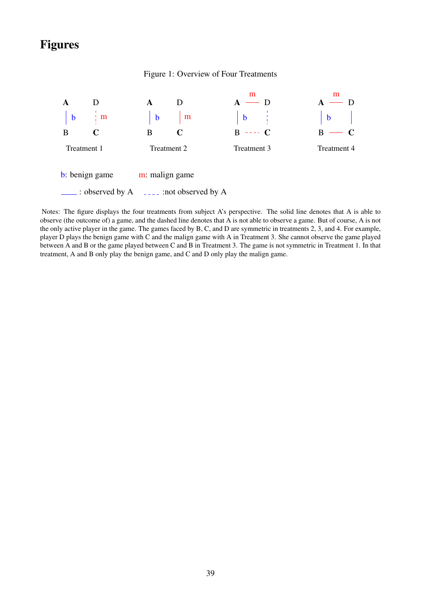# Figures

#### Figure 1: Overview of Four Treatments

<span id="page-38-0"></span>

Notes: The figure displays the four treatments from subject A's perspective. The solid line denotes that A is able to observe (the outcome of) a game, and the dashed line denotes that A is not able to observe a game. But of course, A is not the only active player in the game. The games faced by B, C, and D are symmetric in treatments 2, 3, and 4. For example, player D plays the benign game with C and the malign game with A in Treatment 3. She cannot observe the game played between A and B or the game played between C and B in Treatment 3. The game is not symmetric in Treatment 1. In that treatment, A and B only play the benign game, and C and D only play the malign game.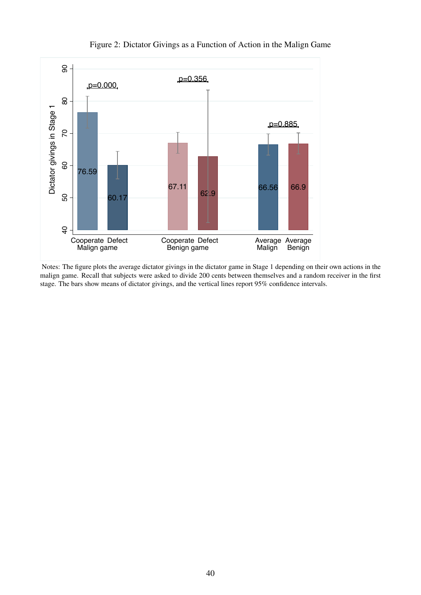<span id="page-39-0"></span>

# Figure 2: Dictator Givings as a Function of Action in the Malign Game

Notes: The figure plots the average dictator givings in the dictator game in Stage 1 depending on their own actions in the malign game. Recall that subjects were asked to divide 200 cents between themselves and a random receiver in the first stage. The bars show means of dictator givings, and the vertical lines report 95% confidence intervals.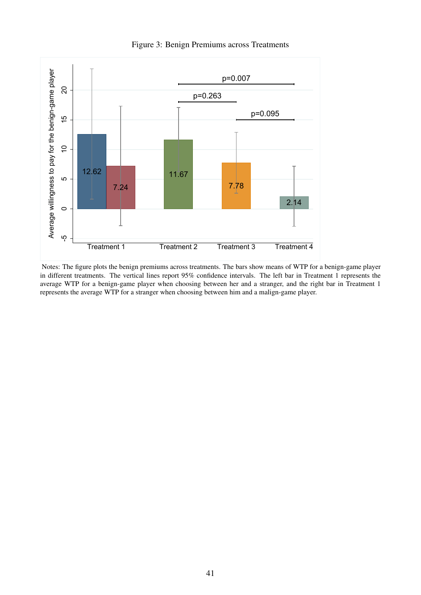<span id="page-40-0"></span>

Figure 3: Benign Premiums across Treatments

Notes: The figure plots the benign premiums across treatments. The bars show means of WTP for a benign-game player in different treatments. The vertical lines report 95% confidence intervals. The left bar in Treatment 1 represents the average WTP for a benign-game player when choosing between her and a stranger, and the right bar in Treatment 1 represents the average WTP for a stranger when choosing between him and a malign-game player.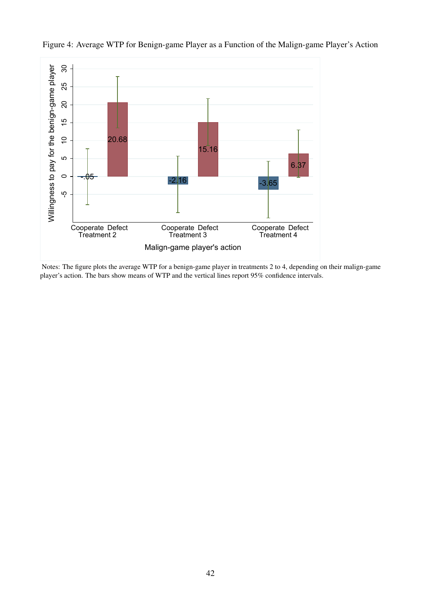<span id="page-41-0"></span>

Figure 4: Average WTP for Benign-game Player as a Function of the Malign-game Player's Action

Notes: The figure plots the average WTP for a benign-game player in treatments 2 to 4, depending on their malign-game player's action. The bars show means of WTP and the vertical lines report 95% confidence intervals.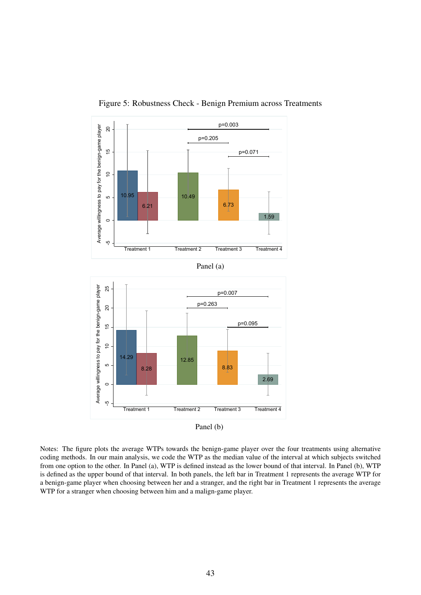<span id="page-42-0"></span>

Figure 5: Robustness Check - Benign Premium across Treatments

Panel (b)

Notes: The figure plots the average WTPs towards the benign-game player over the four treatments using alternative coding methods. In our main analysis, we code the WTP as the median value of the interval at which subjects switched from one option to the other. In Panel (a), WTP is defined instead as the lower bound of that interval. In Panel (b), WTP is defined as the upper bound of that interval. In both panels, the left bar in Treatment 1 represents the average WTP for a benign-game player when choosing between her and a stranger, and the right bar in Treatment 1 represents the average WTP for a stranger when choosing between him and a malign-game player.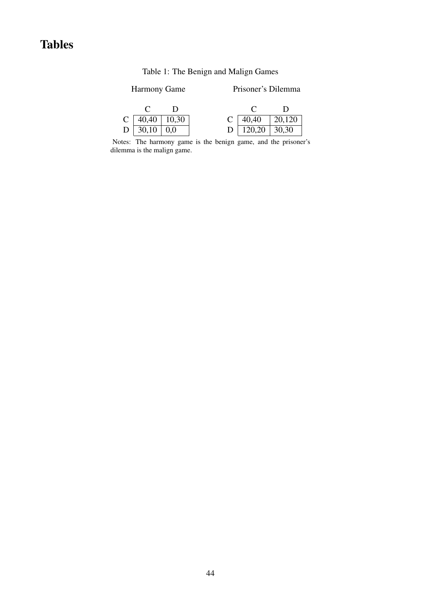# <span id="page-43-0"></span>Tables

# Table 1: The Benign and Malign Games

# Harmony Game Prisoner's Dilemma

| C   40,40   10,30 |  | C   40,40   20,120 |  |
|-------------------|--|--------------------|--|
| D   30,10   0,0   |  | D   120,20   30,30 |  |

Notes: The harmony game is the benign game, and the prisoner's dilemma is the malign game.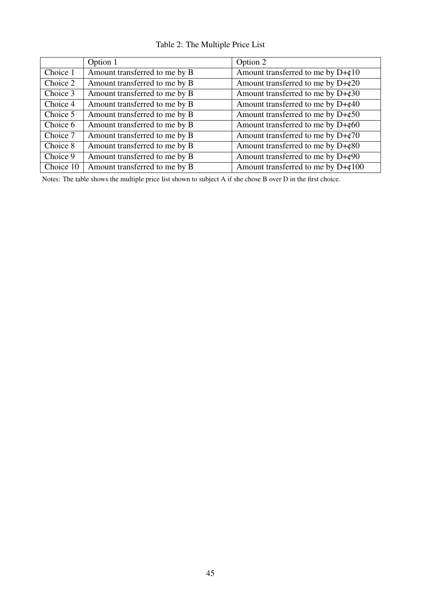|  |  | Table 2: The Multiple Price List |  |  |
|--|--|----------------------------------|--|--|
|--|--|----------------------------------|--|--|

<span id="page-44-0"></span>

|           | Option 1                      | Option 2                                    |
|-----------|-------------------------------|---------------------------------------------|
| Choice 1  | Amount transferred to me by B | Amount transferred to me by $D+\phi$ 10     |
| Choice 2  | Amount transferred to me by B | Amount transferred to me by $D+\phi 20$     |
| Choice 3  | Amount transferred to me by B | Amount transferred to me by $D+\epsilon 30$ |
| Choice 4  | Amount transferred to me by B | Amount transferred to me by $D+\epsilon 40$ |
| Choice 5  | Amount transferred to me by B | Amount transferred to me by $D+\epsilon 50$ |
| Choice 6  | Amount transferred to me by B | Amount transferred to me by $D+\phi 60$     |
| Choice 7  | Amount transferred to me by B | Amount transferred to me by $D+\phi$ 70     |
| Choice 8  | Amount transferred to me by B | Amount transferred to me by $D+\epsilon 80$ |
| Choice 9  | Amount transferred to me by B | Amount transferred to me by $D+\phi$ 90     |
| Choice 10 | Amount transferred to me by B | Amount transferred to me by D+¢100          |

Notes: The table shows the multiple price list shown to subject A if she chose B over D in the first choice.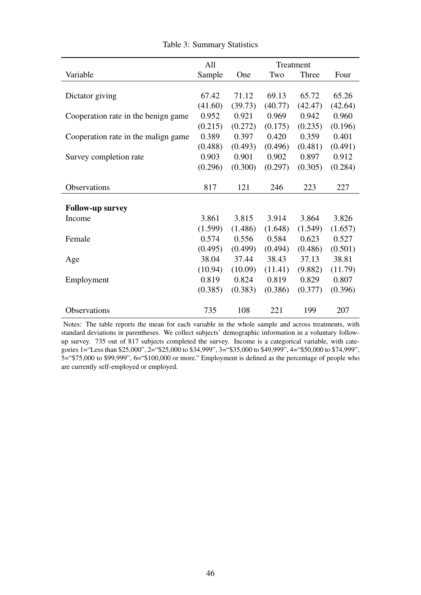<span id="page-45-0"></span>

|                                     | All     | Treatment |         |         |         |
|-------------------------------------|---------|-----------|---------|---------|---------|
| Variable                            | Sample  | One       | Two     | Three   | Four    |
|                                     |         |           |         |         |         |
| Dictator giving                     | 67.42   | 71.12     | 69.13   | 65.72   | 65.26   |
|                                     | (41.60) | (39.73)   | (40.77) | (42.47) | (42.64) |
| Cooperation rate in the benign game | 0.952   | 0.921     | 0.969   | 0.942   | 0.960   |
|                                     | (0.215) | (0.272)   | (0.175) | (0.235) | (0.196) |
| Cooperation rate in the malign game | 0.389   | 0.397     | 0.420   | 0.359   | 0.401   |
|                                     | (0.488) | (0.493)   | (0.496) | (0.481) | (0.491) |
| Survey completion rate              | 0.903   | 0.901     | 0.902   | 0.897   | 0.912   |
|                                     | (0.296) | (0.300)   | (0.297) | (0.305) | (0.284) |
|                                     |         |           |         |         |         |
| <b>Observations</b>                 | 817     | 121       | 246     | 223     | 227     |
|                                     |         |           |         |         |         |
| <b>Follow-up survey</b>             |         |           |         |         |         |
| Income                              | 3.861   | 3.815     | 3.914   | 3.864   | 3.826   |
|                                     | (1.599) | (1.486)   | (1.648) | (1.549) | (1.657) |
| Female                              | 0.574   | 0.556     | 0.584   | 0.623   | 0.527   |
|                                     | (0.495) | (0.499)   | (0.494) | (0.486) | (0.501) |
| Age                                 | 38.04   | 37.44     | 38.43   | 37.13   | 38.81   |
|                                     | (10.94) | (10.09)   | (11.41) | (9.882) | (11.79) |
| Employment                          | 0.819   | 0.824     | 0.819   | 0.829   | 0.807   |
|                                     | (0.385) | (0.383)   | (0.386) | (0.377) | (0.396) |
|                                     |         |           |         |         |         |
| Observations                        | 735     | 108       | 221     | 199     | 207     |

Table 3: Summary Statistics

Notes: The table reports the mean for each variable in the whole sample and across treatments, with standard deviations in parentheses. We collect subjects' demographic information in a voluntary followup survey. 735 out of 817 subjects completed the survey. Income is a categorical variable, with categories 1="Less than \$25,000", 2="\$25,000 to \$34,999", 3="\$35,000 to \$49,999", 4="\$50,000 to \$74,999", 5="\$75,000 to \$99,999", 6="\$100,000 or more." Employment is defined as the percentage of people who are currently self-employed or employed.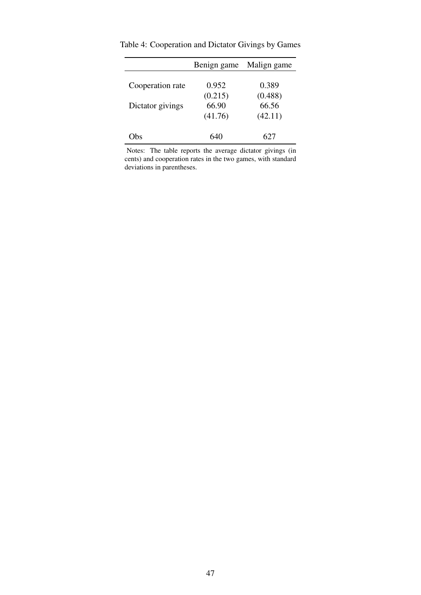|                  | Benign game | Malign game |
|------------------|-------------|-------------|
|                  |             |             |
| Cooperation rate | 0.952       | 0.389       |
|                  | (0.215)     | (0.488)     |
| Dictator givings | 66.90       | 66.56       |
|                  | (41.76)     | (42.11)     |
|                  |             |             |
| . Ths            | 640         | 627         |

<span id="page-46-0"></span>Table 4: Cooperation and Dictator Givings by Games

Notes: The table reports the average dictator givings (in cents) and cooperation rates in the two games, with standard deviations in parentheses.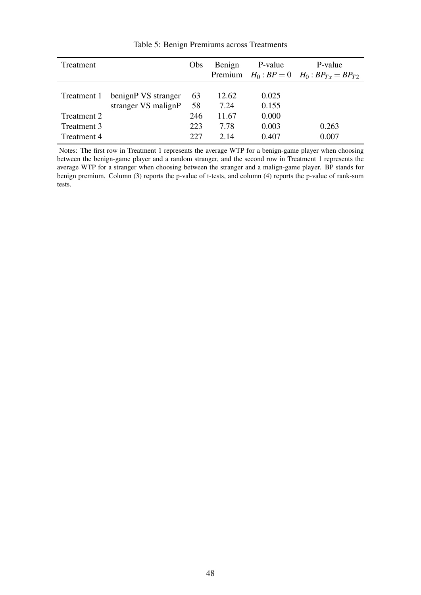<span id="page-47-0"></span>

| Treatment          |                     | <b>Obs</b> | Benign | P-value | P-value                                              |
|--------------------|---------------------|------------|--------|---------|------------------------------------------------------|
|                    |                     |            |        |         | Premium $H_0$ : $BP = 0$ $H_0$ : $BP_{Tx} = BP_{T2}$ |
|                    |                     |            |        |         |                                                      |
| Treatment 1        | benignP VS stranger | 63         | 12.62  | 0.025   |                                                      |
|                    | stranger VS malignP | 58         | 7.24   | 0.155   |                                                      |
| Treatment 2        |                     | 246        | 11.67  | 0.000   |                                                      |
| Treatment 3        |                     | 223        | 7.78   | 0.003   | 0.263                                                |
| <b>Treatment 4</b> |                     | 227        | 2.14   | 0.407   | 0.007                                                |

Table 5: Benign Premiums across Treatments

Notes: The first row in Treatment 1 represents the average WTP for a benign-game player when choosing between the benign-game player and a random stranger, and the second row in Treatment 1 represents the average WTP for a stranger when choosing between the stranger and a malign-game player. BP stands for benign premium. Column (3) reports the p-value of t-tests, and column (4) reports the p-value of rank-sum tests.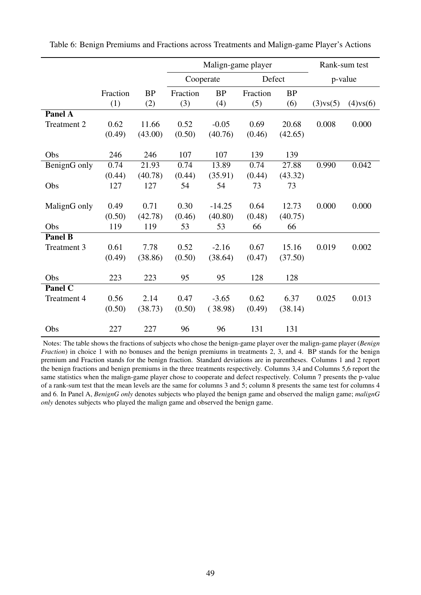<span id="page-48-0"></span>

|                      |          |           | Malign-game player |           |          | Rank-sum test |          |          |
|----------------------|----------|-----------|--------------------|-----------|----------|---------------|----------|----------|
|                      |          |           | Cooperate          |           | Defect   |               | p-value  |          |
|                      | Fraction | <b>BP</b> | Fraction           | <b>BP</b> | Fraction | <b>BP</b>     |          |          |
|                      | (1)      | (2)       | (3)                | (4)       | (5)      | (6)           | (3)vs(5) | (4)vs(6) |
| <b>Panel A</b>       |          |           |                    |           |          |               |          |          |
| <b>Treatment 2</b>   | 0.62     | 11.66     | 0.52               | $-0.05$   | 0.69     | 20.68         | 0.008    | 0.000    |
|                      | (0.49)   | (43.00)   | (0.50)             | (40.76)   | (0.46)   | (42.65)       |          |          |
|                      |          |           |                    |           |          |               |          |          |
| Obs                  | 246      | 246       | 107                | 107       | 139      | 139           |          |          |
| BenignG only         | 0.74     | 21.93     | 0.74               | 13.89     | 0.74     | 27.88         | 0.990    | 0.042    |
|                      | (0.44)   | (40.78)   | (0.44)             | (35.91)   | (0.44)   | (43.32)       |          |          |
| Obs                  | 127      | 127       | 54                 | 54        | 73       | 73            |          |          |
|                      |          |           |                    |           |          |               |          |          |
| MalignG only         | 0.49     | 0.71      | 0.30               | $-14.25$  | 0.64     | 12.73         | 0.000    | 0.000    |
|                      | (0.50)   | (42.78)   | (0.46)             | (40.80)   | (0.48)   | (40.75)       |          |          |
| Obs                  | 119      | 119       | 53                 | 53        | 66       | 66            |          |          |
| Panel $\overline{B}$ |          |           |                    |           |          |               |          |          |
| Treatment 3          | 0.61     | 7.78      | 0.52               | $-2.16$   | 0.67     | 15.16         | 0.019    | 0.002    |
|                      | (0.49)   | (38.86)   | (0.50)             | (38.64)   | (0.47)   | (37.50)       |          |          |
|                      | 223      |           | 95                 | 95        | 128      |               |          |          |
| Obs                  |          | 223       |                    |           |          | 128           |          |          |
| <b>Panel C</b>       |          |           |                    |           |          |               |          |          |
| Treatment 4          | 0.56     | 2.14      | 0.47               | $-3.65$   | 0.62     | 6.37          | 0.025    | 0.013    |
|                      | (0.50)   | (38.73)   | (0.50)             | (38.98)   | (0.49)   | (38.14)       |          |          |
| Obs                  | 227      | 227       | 96                 | 96        | 131      | 131           |          |          |

Table 6: Benign Premiums and Fractions across Treatments and Malign-game Player's Actions

Notes: The table shows the fractions of subjects who chose the benign-game player over the malign-game player (*Benign Fraction*) in choice 1 with no bonuses and the benign premiums in treatments 2, 3, and 4. BP stands for the benign premium and Fraction stands for the benign fraction. Standard deviations are in parentheses. Columns 1 and 2 report the benign fractions and benign premiums in the three treatments respectively. Columns 3,4 and Columns 5,6 report the same statistics when the malign-game player chose to cooperate and defect respectively. Column 7 presents the p-value of a rank-sum test that the mean levels are the same for columns 3 and 5; column 8 presents the same test for columns 4 and 6. In Panel A, *BenignG only* denotes subjects who played the benign game and observed the malign game; *malignG only* denotes subjects who played the malign game and observed the benign game.